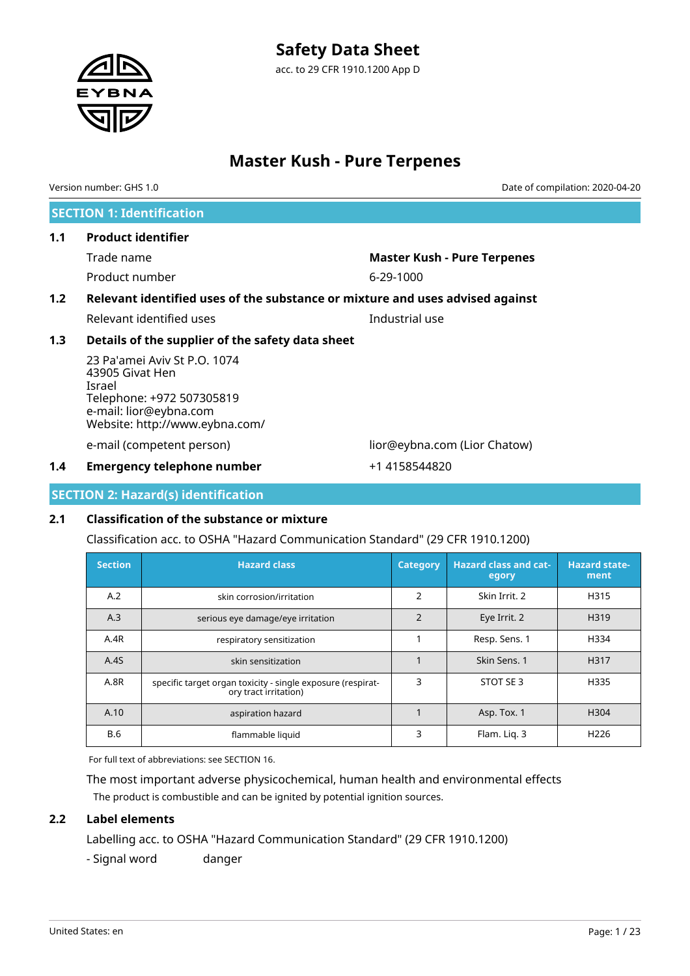# **Safety Data Sheet**

acc. to 29 CFR 1910.1200 App D



# **Master Kush - Pure Terpenes**

**SECTION 1: Identification 1.1 Product identifier** Trade name **Master Kush - Pure Terpenes** Product number 6-29-1000 **1.2 Relevant identified uses of the substance or mixture and uses advised against** Relevant identified uses **Industrial** use **1.3 Details of the supplier of the safety data sheet** 23 Pa'amei Aviv St P.O. 1074 43905 Givat Hen Israel Telephone: +972 507305819 e-mail: lior@eybna.com Website: http://www.eybna.com/ e-mail (competent person) lior@eybna.com (Lior Chatow) **1.4 Emergency telephone number**  $+1$  4158544820 Version number: GHS 1.0 Date of compilation: 2020-04-20

**SECTION 2: Hazard(s) identification**

# **2.1 Classification of the substance or mixture**

Classification acc. to OSHA "Hazard Communication Standard" (29 CFR 1910.1200)

| <b>Section</b> | <b>Hazard class</b>                                                                  | <b>Category</b> | <b>Hazard class and cat-</b><br>egory | <b>Hazard state-</b><br>ment |
|----------------|--------------------------------------------------------------------------------------|-----------------|---------------------------------------|------------------------------|
| A.2            | skin corrosion/irritation                                                            | 2               | Skin Irrit. 2                         | H315                         |
| A.3            | serious eye damage/eye irritation                                                    | $\overline{2}$  | Eye Irrit. 2                          | H319                         |
| A.4R           | respiratory sensitization                                                            |                 | Resp. Sens. 1                         | H334                         |
| A.4S           | skin sensitization                                                                   |                 | Skin Sens. 1                          | H317                         |
| A.8R           | specific target organ toxicity - single exposure (respirat-<br>ory tract irritation) | 3               | STOT SE 3                             | H335                         |
| A.10           | aspiration hazard                                                                    |                 | Asp. Tox. 1                           | H <sub>304</sub>             |
| <b>B.6</b>     | flammable liquid                                                                     | 3               | Flam. Lig. 3                          | H <sub>226</sub>             |

For full text of abbreviations: see SECTION 16.

The most important adverse physicochemical, human health and environmental effects The product is combustible and can be ignited by potential ignition sources.

# **2.2 Label elements**

Labelling acc. to OSHA "Hazard Communication Standard" (29 CFR 1910.1200)

- Signal word danger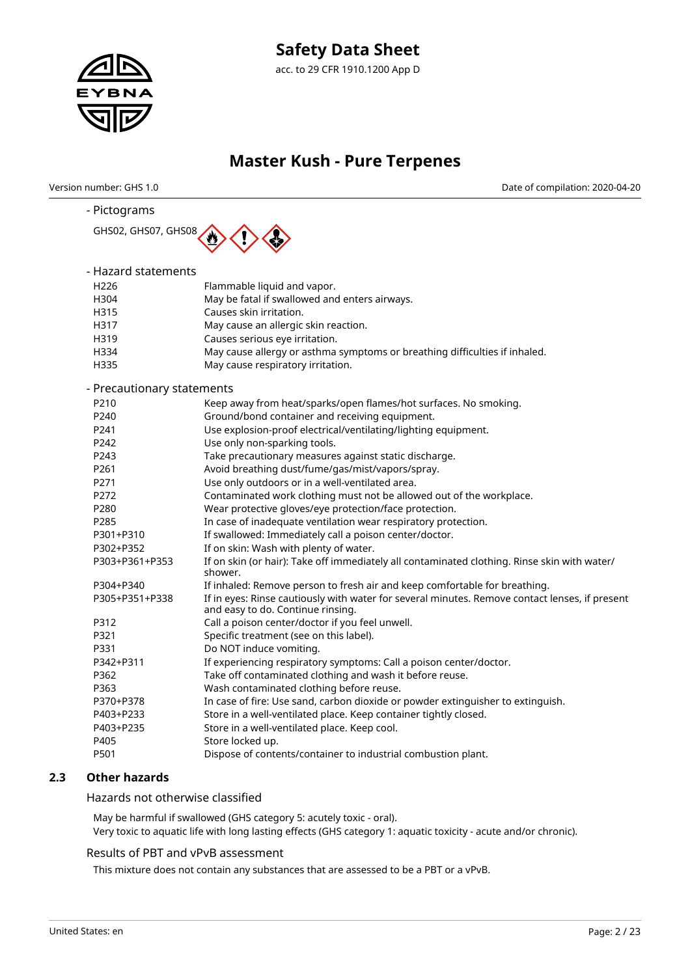

Version number: GHS 1.0 Date of compilation: 2020-04-20

| - Pictograms               |                                                                                                                                     |  |  |  |  |  |  |
|----------------------------|-------------------------------------------------------------------------------------------------------------------------------------|--|--|--|--|--|--|
| GHS02, GHS07, GHS08        |                                                                                                                                     |  |  |  |  |  |  |
|                            |                                                                                                                                     |  |  |  |  |  |  |
|                            |                                                                                                                                     |  |  |  |  |  |  |
| - Hazard statements        |                                                                                                                                     |  |  |  |  |  |  |
| H <sub>226</sub>           | Flammable liquid and vapor.                                                                                                         |  |  |  |  |  |  |
| H304                       | May be fatal if swallowed and enters airways.                                                                                       |  |  |  |  |  |  |
| H315                       | Causes skin irritation.                                                                                                             |  |  |  |  |  |  |
| H317                       | May cause an allergic skin reaction.                                                                                                |  |  |  |  |  |  |
| H319                       | Causes serious eye irritation.                                                                                                      |  |  |  |  |  |  |
| H334                       | May cause allergy or asthma symptoms or breathing difficulties if inhaled.                                                          |  |  |  |  |  |  |
| H335                       | May cause respiratory irritation.                                                                                                   |  |  |  |  |  |  |
| - Precautionary statements |                                                                                                                                     |  |  |  |  |  |  |
| P210                       | Keep away from heat/sparks/open flames/hot surfaces. No smoking.                                                                    |  |  |  |  |  |  |
| P240                       | Ground/bond container and receiving equipment.                                                                                      |  |  |  |  |  |  |
| P241                       | Use explosion-proof electrical/ventilating/lighting equipment.                                                                      |  |  |  |  |  |  |
| P242                       | Use only non-sparking tools.                                                                                                        |  |  |  |  |  |  |
| P243                       | Take precautionary measures against static discharge.                                                                               |  |  |  |  |  |  |
| P261                       | Avoid breathing dust/fume/gas/mist/vapors/spray.                                                                                    |  |  |  |  |  |  |
| P271                       | Use only outdoors or in a well-ventilated area.                                                                                     |  |  |  |  |  |  |
| P272                       | Contaminated work clothing must not be allowed out of the workplace.                                                                |  |  |  |  |  |  |
| P280                       | Wear protective gloves/eye protection/face protection.                                                                              |  |  |  |  |  |  |
| P285                       | In case of inadequate ventilation wear respiratory protection.                                                                      |  |  |  |  |  |  |
| P301+P310                  | If swallowed: Immediately call a poison center/doctor.                                                                              |  |  |  |  |  |  |
| P302+P352                  | If on skin: Wash with plenty of water.                                                                                              |  |  |  |  |  |  |
| P303+P361+P353             | If on skin (or hair): Take off immediately all contaminated clothing. Rinse skin with water/<br>shower.                             |  |  |  |  |  |  |
| P304+P340                  | If inhaled: Remove person to fresh air and keep comfortable for breathing.                                                          |  |  |  |  |  |  |
| P305+P351+P338             | If in eyes: Rinse cautiously with water for several minutes. Remove contact lenses, if present<br>and easy to do. Continue rinsing. |  |  |  |  |  |  |
| P312                       | Call a poison center/doctor if you feel unwell.                                                                                     |  |  |  |  |  |  |
| P321                       | Specific treatment (see on this label).                                                                                             |  |  |  |  |  |  |
| P331                       | Do NOT induce vomiting.                                                                                                             |  |  |  |  |  |  |
| P342+P311                  | If experiencing respiratory symptoms: Call a poison center/doctor.                                                                  |  |  |  |  |  |  |
| P362                       | Take off contaminated clothing and wash it before reuse.                                                                            |  |  |  |  |  |  |
| P363                       | Wash contaminated clothing before reuse.                                                                                            |  |  |  |  |  |  |
| P370+P378                  | In case of fire: Use sand, carbon dioxide or powder extinguisher to extinguish.                                                     |  |  |  |  |  |  |
| P403+P233                  | Store in a well-ventilated place. Keep container tightly closed.                                                                    |  |  |  |  |  |  |
| P403+P235                  | Store in a well-ventilated place. Keep cool.                                                                                        |  |  |  |  |  |  |
| P405                       | Store locked up.                                                                                                                    |  |  |  |  |  |  |
| P501                       | Dispose of contents/container to industrial combustion plant.                                                                       |  |  |  |  |  |  |

# **2.3 Other hazards**

Hazards not otherwise classified

May be harmful if swallowed (GHS category 5: acutely toxic - oral). Very toxic to aquatic life with long lasting effects (GHS category 1: aquatic toxicity - acute and/or chronic).

#### Results of PBT and vPvB assessment

This mixture does not contain any substances that are assessed to be a PBT or a vPvB.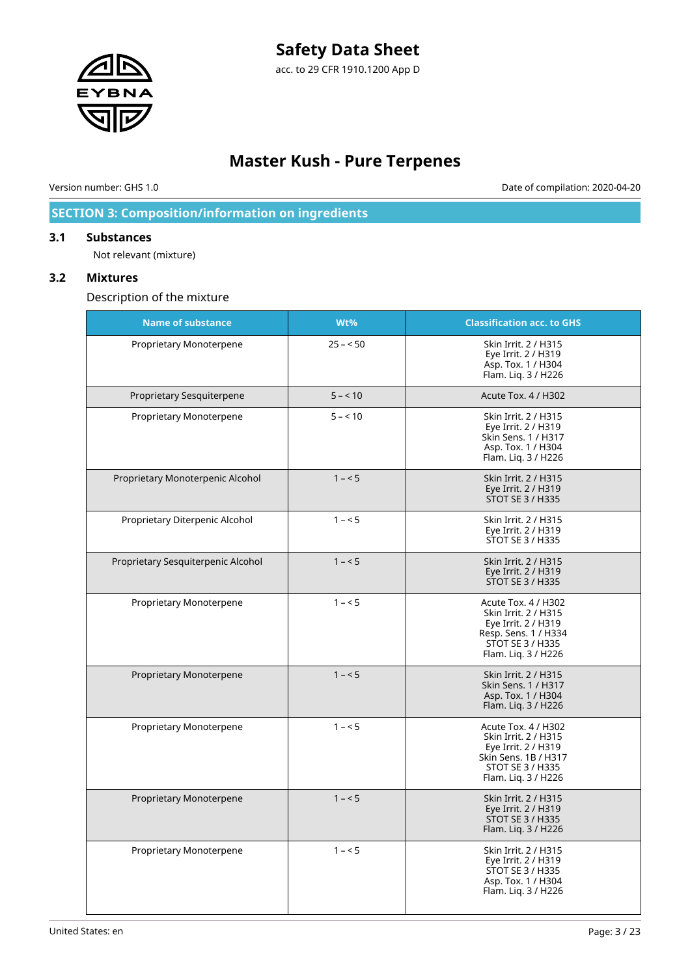# **Safety Data Sheet**



acc. to 29 CFR 1910.1200 App D

# **Master Kush - Pure Terpenes**

Version number: GHS 1.0 Date of compilation: 2020-04-20

# **SECTION 3: Composition/information on ingredients**

### **3.1 Substances**

Not relevant (mixture)

### **3.2 Mixtures**

Description of the mixture

| <b>Name of substance</b>           | Wt%       | <b>Classification acc. to GHS</b>                                                                                                            |
|------------------------------------|-----------|----------------------------------------------------------------------------------------------------------------------------------------------|
| Proprietary Monoterpene            | $25 - 50$ | Skin Irrit. 2 / H315<br>Eye Irrit. 2 / H319<br>Asp. Tox. 1 / H304<br>Flam. Liq. 3 / H226                                                     |
| Proprietary Sesquiterpene          | $5 - 10$  | Acute Tox. 4 / H302                                                                                                                          |
| Proprietary Monoterpene            | $5 - 10$  | Skin Irrit. 2 / H315<br>Eye Irrit. 2 / H319<br>Skin Sens. 1 / H317<br>Asp. Tox. 1 / H304<br>Flam. Liq. 3 / H226                              |
| Proprietary Monoterpenic Alcohol   | $1 - 5$   | Skin Irrit. 2 / H315<br>Eye Irrit. 2 / H319<br><b>STOT SE 3 / H335</b>                                                                       |
| Proprietary Diterpenic Alcohol     | $1 - 5$   | Skin Irrit. 2 / H315<br>Eye Irrit. 2 / H319<br>STOT SE 3 / H335                                                                              |
| Proprietary Sesquiterpenic Alcohol | $1 - 5$   | Skin Irrit. 2 / H315<br>Eye Irrit. 2 / H319<br><b>STOT SE 3 / H335</b>                                                                       |
| Proprietary Monoterpene            | $1 - 5$   | Acute Tox. 4 / H302<br>Skin Irrit. 2 / H315<br>Eye Irrit. 2 / H319<br>Resp. Sens. 1 / H334<br><b>STOT SE 3 / H335</b><br>Flam. Lig. 3 / H226 |
| Proprietary Monoterpene            | $1 - 5$   | Skin Irrit. 2 / H315<br><b>Skin Sens. 1 / H317</b><br>Asp. Tox. 1 / H304<br>Flam. Liq. 3 / H226                                              |
| Proprietary Monoterpene            | $1 - 5$   | Acute Tox. 4 / H302<br>Skin Irrit. 2 / H315<br>Eye Irrit. 2 / H319<br>Skin Sens. 1B / H317<br>STOT SE 3 / H335<br>Flam. Liq. 3 / H226        |
| Proprietary Monoterpene            | $1 - 5$   | Skin Irrit. 2 / H315<br>Eye Irrit. 2 / H319<br>STOT SE 3 / H335<br>Flam. Lig. 3 / H226                                                       |
| Proprietary Monoterpene            | $1 - 5$   | Skin Irrit. 2 / H315<br>Eye Irrit. 2 / H319<br>STOT SE 3 / H335<br>Asp. Tox. 1 / H304<br>Flam. Liq. 3 / H226                                 |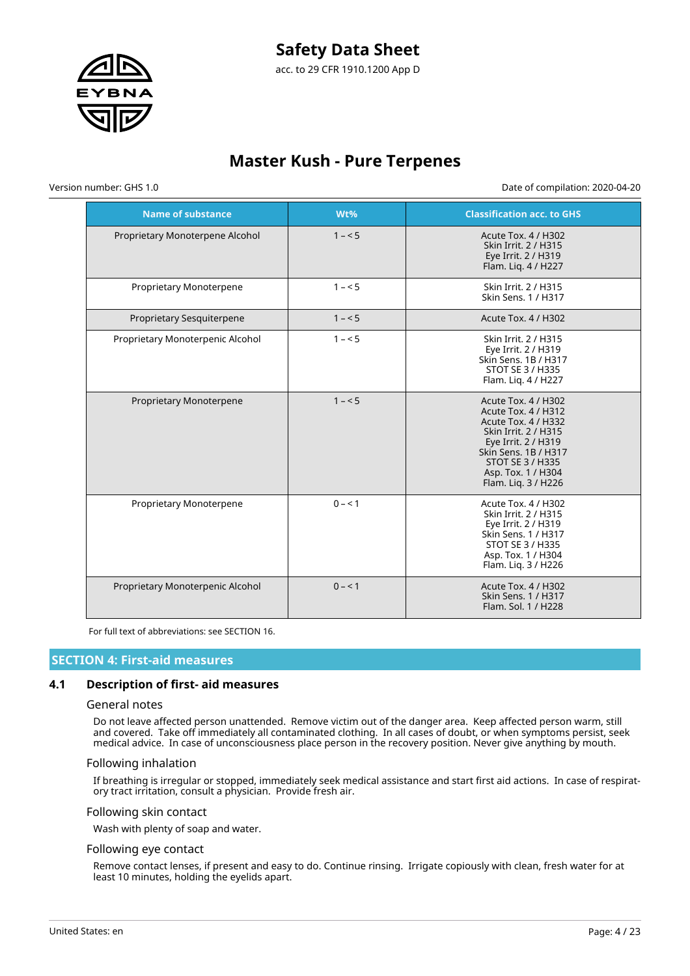# **Safety Data Sheet**



acc. to 29 CFR 1910.1200 App D

# **Master Kush - Pure Terpenes**

Version number: GHS 1.0 Date of compilation: 2020-04-20

| <b>Name of substance</b>         | Wt%     | <b>Classification acc. to GHS</b>                                                                                                                                                                                |
|----------------------------------|---------|------------------------------------------------------------------------------------------------------------------------------------------------------------------------------------------------------------------|
| Proprietary Monoterpene Alcohol  | $1 - 5$ | Acute Tox. 4 / H302<br>Skin Irrit. 2 / H315<br>Eye Irrit. 2 / H319<br>Flam. Liq. 4 / H227                                                                                                                        |
| Proprietary Monoterpene          | $1 - 5$ | Skin Irrit. 2 / H315<br>Skin Sens. 1 / H317                                                                                                                                                                      |
| Proprietary Sesquiterpene        | $1 - 5$ | Acute Tox. 4 / H302                                                                                                                                                                                              |
| Proprietary Monoterpenic Alcohol | $1 - 5$ | Skin Irrit. 2 / H315<br>Eye Irrit. 2 / H319<br>Skin Sens, 1B / H317<br>STOT SE 3 / H335<br>Flam. Lig. 4 / H227                                                                                                   |
| Proprietary Monoterpene          | $1 - 5$ | Acute Tox. 4 / H302<br>Acute Tox. 4 / H312<br>Acute Tox. 4 / H332<br><b>Skin Irrit. 2 / H315</b><br>Eye Irrit. 2 / H319<br>Skin Sens, 1B / H317<br>STOT SE 3 / H335<br>Asp. Tox. 1 / H304<br>Flam. Lig. 3 / H226 |
| Proprietary Monoterpene          | $0 - 1$ | Acute Tox. 4 / H302<br>Skin Irrit. 2 / H315<br>Eye Irrit. 2 / H319<br>Skin Sens. 1 / H317<br>STOT SE 3 / H335<br>Asp. Tox. 1 / H304<br>Flam. Lig. 3 / H226                                                       |
| Proprietary Monoterpenic Alcohol | $0 - 1$ | Acute Tox. 4 / H302<br>Skin Sens. 1 / H317<br>Flam, Sol. 1 / H228                                                                                                                                                |

For full text of abbreviations: see SECTION 16.

#### **SECTION 4: First-aid measures**

#### **4.1 Description of first- aid measures**

#### General notes

Do not leave affected person unattended. Remove victim out of the danger area. Keep affected person warm, still and covered. Take off immediately all contaminated clothing. In all cases of doubt, or when symptoms persist, seek medical advice. In case of unconsciousness place person in the recovery position. Never give anything by mouth.

#### Following inhalation

If breathing is irregular or stopped, immediately seek medical assistance and start first aid actions. In case of respiratory tract irritation, consult a physician. Provide fresh air.

#### Following skin contact

Wash with plenty of soap and water.

#### Following eye contact

Remove contact lenses, if present and easy to do. Continue rinsing. Irrigate copiously with clean, fresh water for at least 10 minutes, holding the eyelids apart.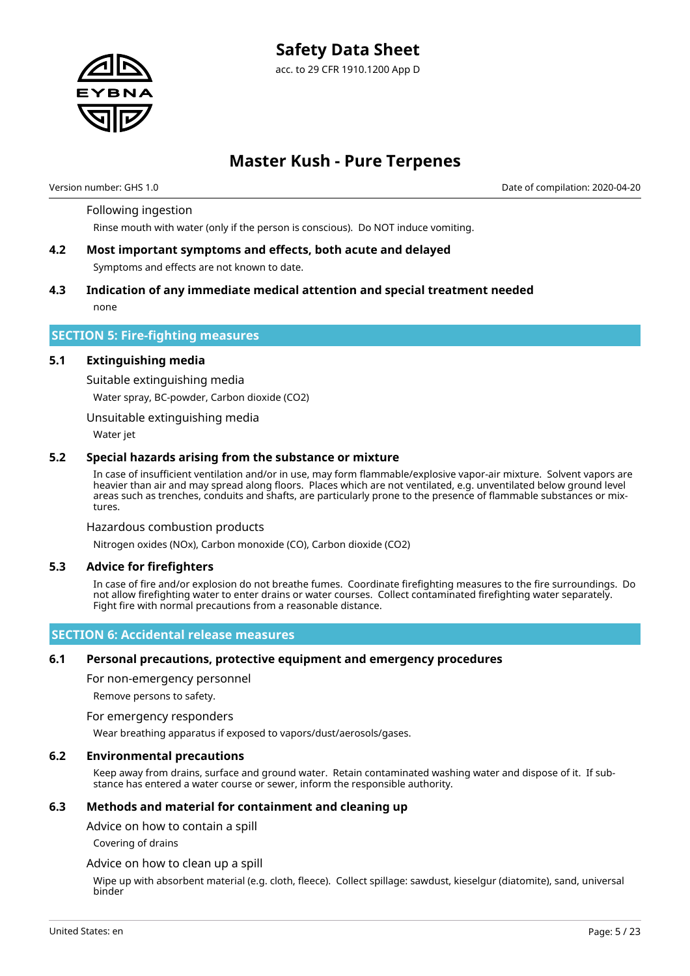

# **Master Kush - Pure Terpenes**

Version number: GHS 1.0 Date of compilation: 2020-04-20

#### Following ingestion

Rinse mouth with water (only if the person is conscious). Do NOT induce vomiting.

- **4.2 Most important symptoms and effects, both acute and delayed** Symptoms and effects are not known to date.
- **4.3 Indication of any immediate medical attention and special treatment needed** none

#### **SECTION 5: Fire-fighting measures**

#### **5.1 Extinguishing media**

Suitable extinguishing media Water spray, BC-powder, Carbon dioxide (CO2)

Unsuitable extinguishing media

Water jet

#### **5.2 Special hazards arising from the substance or mixture**

In case of insufficient ventilation and/or in use, may form flammable/explosive vapor-air mixture. Solvent vapors are heavier than air and may spread along floors. Places which are not ventilated, e.g. unventilated below ground level areas such as trenches, conduits and shafts, are particularly prone to the presence of flammable substances or mixtures.

#### Hazardous combustion products

Nitrogen oxides (NOx), Carbon monoxide (CO), Carbon dioxide (CO2)

#### **5.3 Advice for firefighters**

In case of fire and/or explosion do not breathe fumes. Coordinate firefighting measures to the fire surroundings. Do not allow firefighting water to enter drains or water courses. Collect contaminated firefighting water separately. Fight fire with normal precautions from a reasonable distance.

### **SECTION 6: Accidental release measures**

#### **6.1 Personal precautions, protective equipment and emergency procedures**

For non-emergency personnel

Remove persons to safety.

#### For emergency responders

Wear breathing apparatus if exposed to vapors/dust/aerosols/gases.

#### **6.2 Environmental precautions**

Keep away from drains, surface and ground water. Retain contaminated washing water and dispose of it. If substance has entered a water course or sewer, inform the responsible authority.

#### **6.3 Methods and material for containment and cleaning up**

Advice on how to contain a spill

Covering of drains

#### Advice on how to clean up a spill

Wipe up with absorbent material (e.g. cloth, fleece). Collect spillage: sawdust, kieselgur (diatomite), sand, universal binder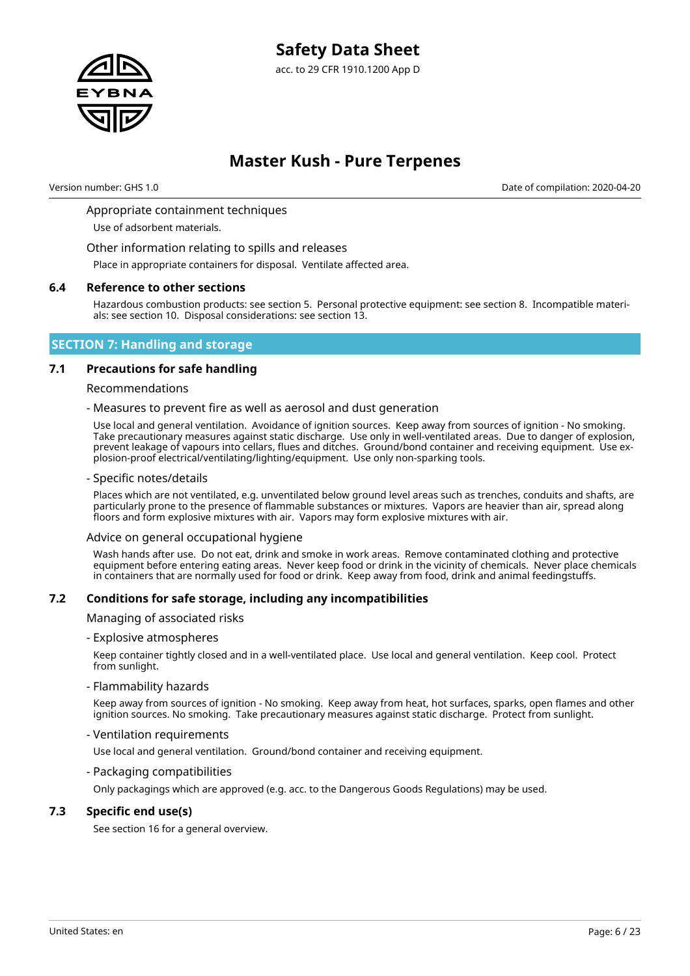

# **Master Kush - Pure Terpenes**

Version number: GHS 1.0 Date of compilation: 2020-04-20

### Appropriate containment techniques

Use of adsorbent materials.

Other information relating to spills and releases

Place in appropriate containers for disposal. Ventilate affected area.

#### **6.4 Reference to other sections**

Hazardous combustion products: see section 5. Personal protective equipment: see section 8. Incompatible materials: see section 10. Disposal considerations: see section 13.

### **SECTION 7: Handling and storage**

#### **7.1 Precautions for safe handling**

#### Recommendations

#### - Measures to prevent fire as well as aerosol and dust generation

Use local and general ventilation. Avoidance of ignition sources. Keep away from sources of ignition - No smoking. Take precautionary measures against static discharge. Use only in well-ventilated areas. Due to danger of explosion, prevent leakage of vapours into cellars, flues and ditches. Ground/bond container and receiving equipment. Use explosion-proof electrical/ventilating/lighting/equipment. Use only non-sparking tools.

#### - Specific notes/details

Places which are not ventilated, e.g. unventilated below ground level areas such as trenches, conduits and shafts, are particularly prone to the presence of flammable substances or mixtures. Vapors are heavier than air, spread along floors and form explosive mixtures with air. Vapors may form explosive mixtures with air.

#### Advice on general occupational hygiene

Wash hands after use. Do not eat, drink and smoke in work areas. Remove contaminated clothing and protective equipment before entering eating areas. Never keep food or drink in the vicinity of chemicals. Never place chemicals in containers that are normally used for food or drink. Keep away from food, drink and animal feedingstuffs.

### **7.2 Conditions for safe storage, including any incompatibilities**

#### Managing of associated risks

- Explosive atmospheres

Keep container tightly closed and in a well-ventilated place. Use local and general ventilation. Keep cool. Protect from sunlight.

#### - Flammability hazards

Keep away from sources of ignition - No smoking. Keep away from heat, hot surfaces, sparks, open flames and other ignition sources. No smoking. Take precautionary measures against static discharge. Protect from sunlight.

#### - Ventilation requirements

Use local and general ventilation. Ground/bond container and receiving equipment.

#### - Packaging compatibilities

Only packagings which are approved (e.g. acc. to the Dangerous Goods Regulations) may be used.

#### **7.3 Specific end use(s)**

See section 16 for a general overview.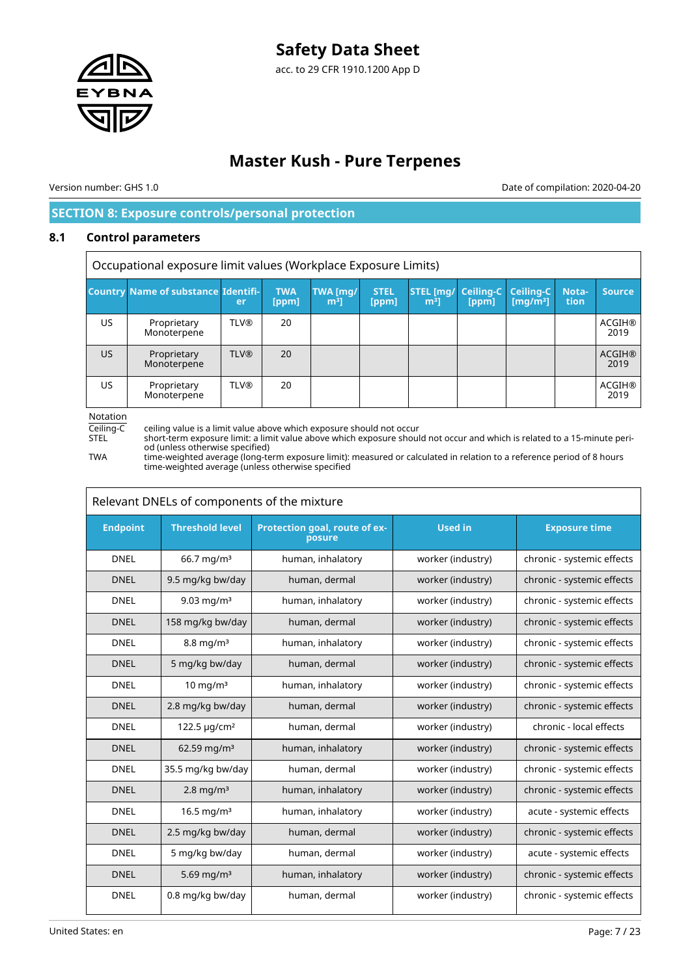

# **Master Kush - Pure Terpenes**

Version number: GHS 1.0 Date of compilation: 2020-04-20

# **SECTION 8: Exposure controls/personal protection**

### **8.1 Control parameters**

Occupational exposure limit values (Workplace Exposure Limits) **Country Name of substance Identifier TWA [ppm] TWA [mg/ m³] STEL [ppm] STEL [mg/ m³] Ceiling-C [ppm] Ceiling-C [mg/m³] Notation Source** US **Proprietary** Monoterpene TLV® | 20 | | | | | | | | | | | ACGIH® 2019 US | Proprietary **Monoterpene** TLV® | 20 | | | | | | ACGIH® 2019 US | Proprietary Monoterpene TLV® 20 ACGIH® 2019

Notation

Ceiling-C ceiling value is a limit value above which exposure should not occur<br>STEL short-term exposure limit: a limit value above which exposure shoul STEL short-term exposure limit: a limit value above which exposure should not occur and which is related to a 15-minute period (unless otherwise specified)

TWA time-weighted average (long-term exposure limit): measured or calculated in relation to a reference period of 8 hours time-weighted average (unless otherwise specified

| Relevant DNELs of components of the mixture |                               |                                         |                   |                            |  |  |
|---------------------------------------------|-------------------------------|-----------------------------------------|-------------------|----------------------------|--|--|
| <b>Endpoint</b>                             | <b>Threshold level</b>        | Protection goal, route of ex-<br>posure | <b>Used in</b>    | <b>Exposure time</b>       |  |  |
| <b>DNEL</b>                                 | $66.7$ mg/m <sup>3</sup>      | human, inhalatory                       | worker (industry) | chronic - systemic effects |  |  |
| <b>DNEL</b>                                 | 9.5 mg/kg bw/day              | human, dermal                           | worker (industry) | chronic - systemic effects |  |  |
| <b>DNEL</b>                                 | 9.03 mg/m <sup>3</sup>        | human, inhalatory                       | worker (industry) | chronic - systemic effects |  |  |
| <b>DNEL</b>                                 | 158 mg/kg bw/day              | human, dermal                           | worker (industry) | chronic - systemic effects |  |  |
| <b>DNEL</b>                                 | $8.8 \text{ mg/m}^3$          | human, inhalatory                       | worker (industry) | chronic - systemic effects |  |  |
| <b>DNEL</b>                                 | 5 mg/kg bw/day                | human, dermal                           | worker (industry) | chronic - systemic effects |  |  |
| <b>DNEL</b>                                 | $10 \text{ mg/m}^3$           | human, inhalatory                       | worker (industry) | chronic - systemic effects |  |  |
| <b>DNEL</b>                                 | 2.8 mg/kg bw/day              | human, dermal                           | worker (industry) | chronic - systemic effects |  |  |
| <b>DNEL</b>                                 | 122.5 $\mu$ g/cm <sup>2</sup> | human, dermal                           | worker (industry) | chronic - local effects    |  |  |
| <b>DNEL</b>                                 | 62.59 mg/m <sup>3</sup>       | human, inhalatory                       | worker (industry) | chronic - systemic effects |  |  |
| <b>DNEL</b>                                 | 35.5 mg/kg bw/day             | human, dermal                           | worker (industry) | chronic - systemic effects |  |  |
| <b>DNEL</b>                                 | $2.8$ mg/m <sup>3</sup>       | human, inhalatory                       | worker (industry) | chronic - systemic effects |  |  |
| <b>DNEL</b>                                 | 16.5 mg/ $m3$                 | human, inhalatory                       | worker (industry) | acute - systemic effects   |  |  |
| <b>DNEL</b>                                 | 2.5 mg/kg bw/day              | human, dermal                           | worker (industry) | chronic - systemic effects |  |  |
| <b>DNEL</b>                                 | 5 mg/kg bw/day                | human, dermal                           | worker (industry) | acute - systemic effects   |  |  |
| <b>DNEL</b>                                 | 5.69 mg/m <sup>3</sup>        | human, inhalatory                       | worker (industry) | chronic - systemic effects |  |  |
| <b>DNEL</b>                                 | 0.8 mg/kg bw/day              | human, dermal                           | worker (industry) | chronic - systemic effects |  |  |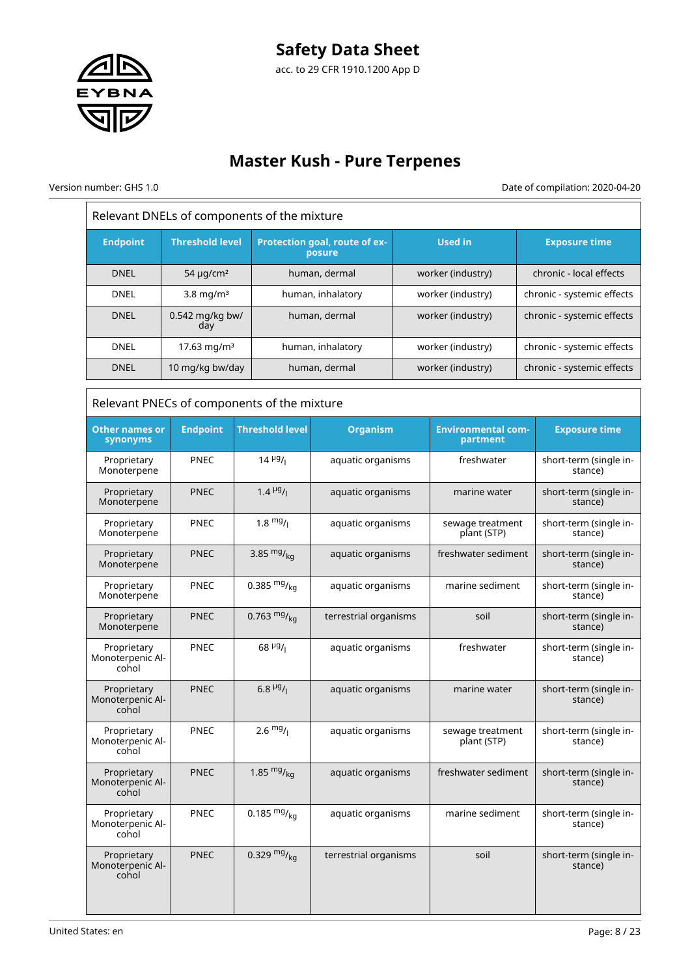

Relevant DNELs of components of the mixture

Version number: GHS 1.0 Date of compilation: 2020-04-20

| <b>Endpoint</b>                          | <b>Threshold level</b>                      |                                             | Protection goal, route of ex-<br>posure |                   | <b>Used in</b>                        |                         | <b>Exposure time</b>              |  |
|------------------------------------------|---------------------------------------------|---------------------------------------------|-----------------------------------------|-------------------|---------------------------------------|-------------------------|-----------------------------------|--|
| <b>DNEL</b>                              | human, dermal<br>54 $\mu$ g/cm <sup>2</sup> |                                             |                                         | worker (industry) |                                       | chronic - local effects |                                   |  |
| <b>DNEL</b>                              | $3.8$ mg/m <sup>3</sup>                     |                                             | human, inhalatory                       |                   | worker (industry)                     |                         | chronic - systemic effects        |  |
| <b>DNEL</b>                              | 0.542 mg/kg bw/<br>day                      |                                             | human, dermal                           |                   | worker (industry)                     |                         | chronic - systemic effects        |  |
| DNEL                                     | 17.63 mg/m <sup>3</sup>                     |                                             | human, inhalatory                       |                   | worker (industry)                     |                         | chronic - systemic effects        |  |
| <b>DNEL</b>                              | 10 mg/kg bw/day                             |                                             | human, dermal                           |                   | worker (industry)                     |                         | chronic - systemic effects        |  |
|                                          |                                             | Relevant PNECs of components of the mixture |                                         |                   |                                       |                         |                                   |  |
| <b>Other names or</b><br>synonyms        | <b>Endpoint</b>                             | <b>Threshold level</b>                      | <b>Organism</b>                         |                   | <b>Environmental com-</b><br>partment |                         | <b>Exposure time</b>              |  |
| Proprietary<br>Monoterpene               | <b>PNEC</b>                                 | $14 \frac{\mu g}{I}$                        | aquatic organisms                       |                   | freshwater                            |                         | short-term (single in-<br>stance) |  |
| Proprietary<br>Monoterpene               | <b>PNEC</b>                                 | $1.4 \frac{\mu g}{I}$                       | aquatic organisms                       |                   | marine water                          |                         | short-term (single in-<br>stance) |  |
| Proprietary<br>Monoterpene               | <b>PNEC</b>                                 | $1.8 \frac{mg}{l}$                          | aquatic organisms                       |                   | sewage treatment<br>plant (STP)       |                         | short-term (single in-<br>stance) |  |
| Proprietary<br>Monoterpene               | <b>PNEC</b>                                 | 3.85 $mg/kq$                                | aquatic organisms                       |                   | freshwater sediment                   |                         | short-term (single in-<br>stance) |  |
| Proprietary<br>Monoterpene               | <b>PNEC</b>                                 | 0.385 $mg/kq$                               | aquatic organisms                       |                   | marine sediment                       |                         | short-term (single in-<br>stance) |  |
| Proprietary<br>Monoterpene               | <b>PNEC</b>                                 | 0.763 $mg/kq$                               | terrestrial organisms                   |                   | soil                                  |                         | short-term (single in-<br>stance) |  |
| Proprietary<br>Monoterpenic Al-<br>cohol | <b>PNEC</b>                                 | $68 \frac{\mu g}{I}$                        | aquatic organisms                       |                   | freshwater                            |                         | short-term (single in-<br>stance) |  |
| Proprietary<br>Monoterpenic Al-<br>cohol | <b>PNEC</b>                                 | $6.8 \frac{\mu g}{I}$                       | aquatic organisms                       |                   | marine water                          |                         | short-term (single in-<br>stance) |  |
| Proprietary<br>Monoterpenic Al-<br>cohol | <b>PNEC</b>                                 | $2.6 \frac{mg}{l}$                          | aquatic organisms                       |                   | sewage treatment<br>plant (STP)       |                         | short-term (single in-<br>stance) |  |
| Proprietary<br>Monoterpenic Al-<br>cohol | <b>PNEC</b>                                 | 1.85 $mg/kq$                                | aquatic organisms                       |                   | freshwater sediment                   |                         | short-term (single in-<br>stance) |  |
| Proprietary<br>Monoterpenic Al-<br>cohol | <b>PNEC</b>                                 | 0.185 $mg/kq$                               | aquatic organisms                       |                   | marine sediment                       |                         | short-term (single in-<br>stance) |  |
| Proprietary<br>Monoterpenic Al-<br>cohol | <b>PNEC</b>                                 | 0.329 $mg/kq$                               | terrestrial organisms                   |                   | soil                                  |                         | short-term (single in-<br>stance) |  |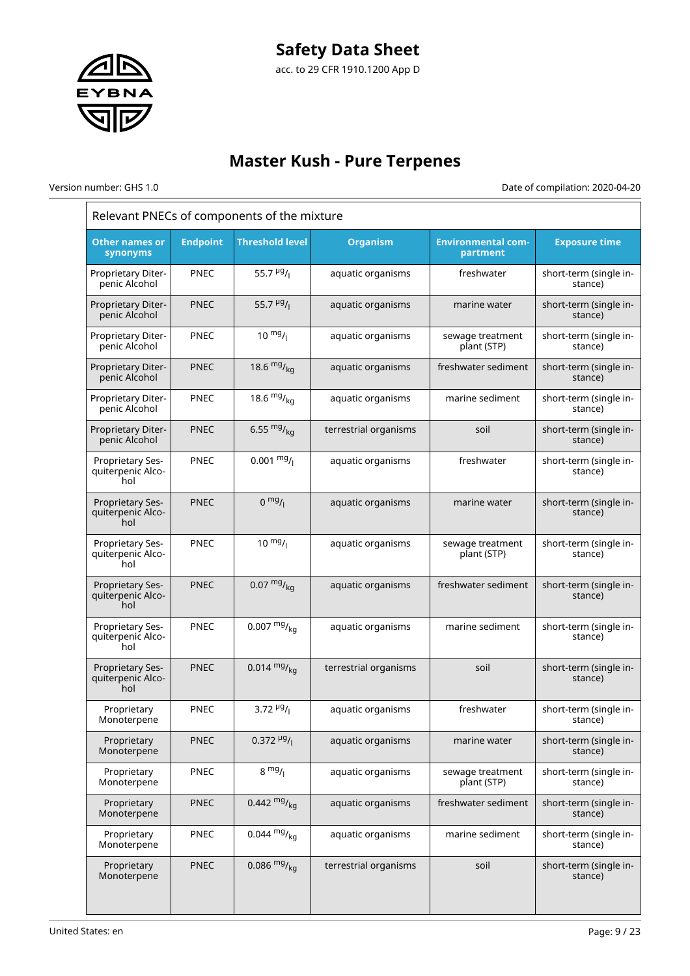

# **Master Kush - Pure Terpenes**

Version number: GHS 1.0 Date of compilation: 2020-04-20

| Relevant PNECs of components of the mixture  |                 |                         |                       |                                       |                                   |  |
|----------------------------------------------|-----------------|-------------------------|-----------------------|---------------------------------------|-----------------------------------|--|
| <b>Other names or</b><br>synonyms            | <b>Endpoint</b> | <b>Threshold level</b>  | <b>Organism</b>       | <b>Environmental com-</b><br>partment | <b>Exposure time</b>              |  |
| Proprietary Diter-<br>penic Alcohol          | <b>PNEC</b>     | 55.7 $\mu$ g/           | aquatic organisms     | freshwater                            | short-term (single in-<br>stance) |  |
| <b>Proprietary Diter-</b><br>penic Alcohol   | <b>PNEC</b>     | 55.7 $\frac{\mu g}{I}$  | aquatic organisms     | marine water                          | short-term (single in-<br>stance) |  |
| Proprietary Diter-<br>penic Alcohol          | <b>PNEC</b>     | $10^{mg}$ /             | aquatic organisms     | sewage treatment<br>plant (STP)       | short-term (single in-<br>stance) |  |
| Proprietary Diter-<br>penic Alcohol          | <b>PNEC</b>     | 18.6 $mg/kq$            | aquatic organisms     | freshwater sediment                   | short-term (single in-<br>stance) |  |
| Proprietary Diter-<br>penic Alcohol          | <b>PNEC</b>     | 18.6 $mg/m_{\text{kg}}$ | aquatic organisms     | marine sediment                       | short-term (single in-<br>stance) |  |
| <b>Proprietary Diter-</b><br>penic Alcohol   | <b>PNEC</b>     | 6.55 $mg/kq$            | terrestrial organisms | soil                                  | short-term (single in-<br>stance) |  |
| Proprietary Ses-<br>quiterpenic Alco-<br>hol | PNEC            | $0.001 \frac{mg}{l}$    | aquatic organisms     | freshwater                            | short-term (single in-<br>stance) |  |
| Proprietary Ses-<br>quiterpenic Alco-<br>hol | <b>PNEC</b>     | $0 \frac{mg}{l}$        | aquatic organisms     | marine water                          | short-term (single in-<br>stance) |  |
| Proprietary Ses-<br>quiterpenic Alco-<br>hol | PNEC            | $10 \frac{mg}{l}$       | aquatic organisms     | sewage treatment<br>plant (STP)       | short-term (single in-<br>stance) |  |
| Proprietary Ses-<br>quiterpenic Alco-<br>hol | <b>PNEC</b>     | $0.07 \frac{mg}{ka}$    | aquatic organisms     | freshwater sediment                   | short-term (single in-<br>stance) |  |
| Proprietary Ses-<br>quiterpenic Alco-<br>hol | PNEC            | $0.007 \frac{mg}{kg}$   | aquatic organisms     | marine sediment                       | short-term (single in-<br>stance) |  |
| Proprietary Ses-<br>quiterpenic Alco-<br>hol | <b>PNEC</b>     | $0.014 \frac{mg}{kg}$   | terrestrial organisms | soil                                  | short-term (single in-<br>stance) |  |
| Proprietary<br>Monoterpene                   | PNEC            | 3.72 $\frac{\mu g}{I}$  | aquatic organisms     | freshwater                            | short-term (single in-<br>stance) |  |
| Proprietary<br>Monoterpene                   | <b>PNEC</b>     | $0.372 \frac{\mu g}{I}$ | aquatic organisms     | marine water                          | short-term (single in-<br>stance) |  |
| Proprietary<br>Monoterpene                   | <b>PNEC</b>     | $8 \frac{mg}{l}$        | aquatic organisms     | sewage treatment<br>plant (STP)       | short-term (single in-<br>stance) |  |
| Proprietary<br>Monoterpene                   | <b>PNEC</b>     | 0.442 $mg/kq$           | aquatic organisms     | freshwater sediment                   | short-term (single in-<br>stance) |  |
| Proprietary<br>Monoterpene                   | <b>PNEC</b>     | $0.044 \frac{mg}{ka}$   | aquatic organisms     | marine sediment                       | short-term (single in-<br>stance) |  |
| Proprietary<br>Monoterpene                   | <b>PNEC</b>     | 0.086 $mg/kq$           | terrestrial organisms | soil                                  | short-term (single in-<br>stance) |  |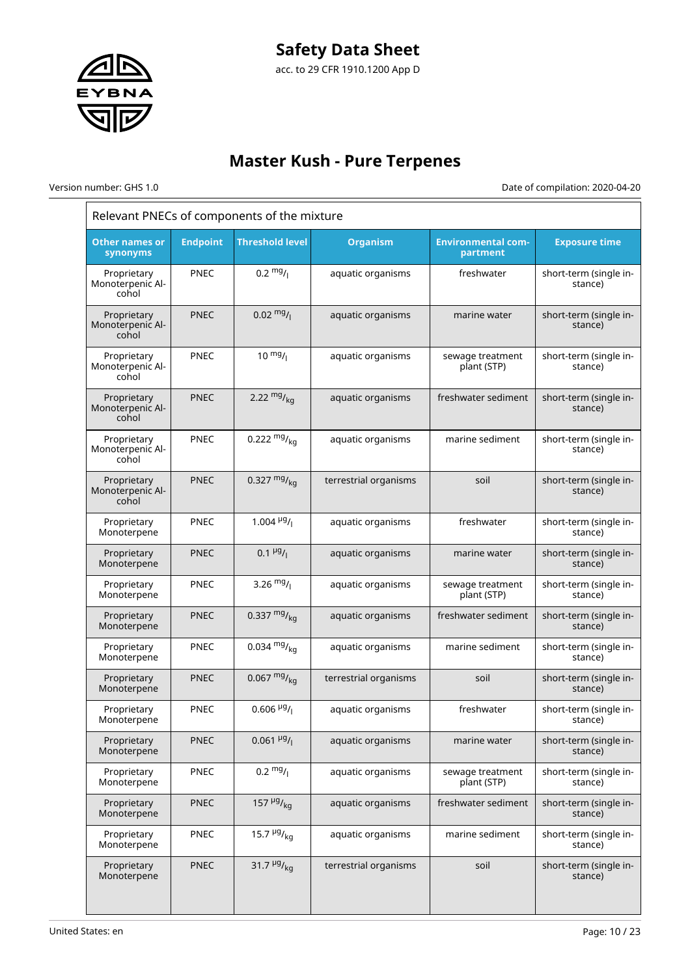

Version number: GHS 1.0 Date of compilation: 2020-04-20

| Relevant PNECs of components of the mixture |                 |                               |                       |                                       |                                   |  |
|---------------------------------------------|-----------------|-------------------------------|-----------------------|---------------------------------------|-----------------------------------|--|
| <b>Other names or</b><br>synonyms           | <b>Endpoint</b> | <b>Threshold level</b>        | <b>Organism</b>       | <b>Environmental com-</b><br>partment | <b>Exposure time</b>              |  |
| Proprietary<br>Monoterpenic Al-<br>cohol    | PNEC            | $0.2 \frac{mg}{l}$            | aquatic organisms     | freshwater                            | short-term (single in-<br>stance) |  |
| Proprietary<br>Monoterpenic Al-<br>cohol    | <b>PNEC</b>     | $0.02 \frac{mg}{l}$           | aquatic organisms     | marine water                          | short-term (single in-<br>stance) |  |
| Proprietary<br>Monoterpenic Al-<br>cohol    | PNEC            | $10^{mg}$ /                   | aquatic organisms     | sewage treatment<br>plant (STP)       | short-term (single in-<br>stance) |  |
| Proprietary<br>Monoterpenic Al-<br>cohol    | <b>PNEC</b>     | 2.22 $mg/kq$                  | aquatic organisms     | freshwater sediment                   | short-term (single in-<br>stance) |  |
| Proprietary<br>Monoterpenic Al-<br>cohol    | PNEC            | 0.222 $mg/_{ka}$              | aquatic organisms     | marine sediment                       | short-term (single in-<br>stance) |  |
| Proprietary<br>Monoterpenic Al-<br>cohol    | <b>PNEC</b>     | 0.327 $mg/kq$                 | terrestrial organisms | soil                                  | short-term (single in-<br>stance) |  |
| Proprietary<br>Monoterpene                  | <b>PNEC</b>     | 1.004 $\frac{\mu g}{I}$       | aquatic organisms     | freshwater                            | short-term (single in-<br>stance) |  |
| Proprietary<br>Monoterpene                  | <b>PNEC</b>     | $0.1 \frac{\mu g}{I}$         | aquatic organisms     | marine water                          | short-term (single in-<br>stance) |  |
| Proprietary<br>Monoterpene                  | <b>PNEC</b>     | 3.26 $mg/$                    | aquatic organisms     | sewage treatment<br>plant (STP)       | short-term (single in-<br>stance) |  |
| Proprietary<br>Monoterpene                  | <b>PNEC</b>     | 0.337 $mg/kq$                 | aquatic organisms     | freshwater sediment                   | short-term (single in-<br>stance) |  |
| Proprietary<br>Monoterpene                  | <b>PNEC</b>     | 0.034 $mg/kq$                 | aquatic organisms     | marine sediment                       | short-term (single in-<br>stance) |  |
| Proprietary<br>Monoterpene                  | <b>PNEC</b>     | 0.067 $mg/kq$                 | terrestrial organisms | soil                                  | short-term (single in-<br>stance) |  |
| Proprietary<br>Monoterpene                  | <b>PNEC</b>     | $0.606\,$ µg/ <sub>1</sub>    | aquatic organisms     | freshwater                            | short-term (single in-<br>stance) |  |
| Proprietary<br>Monoterpene                  | <b>PNEC</b>     | $0.061 \frac{\mu g}{I}$       | aquatic organisms     | marine water                          | short-term (single in-<br>stance) |  |
| Proprietary<br>Monoterpene                  | PNEC            | $0.2 \frac{mg}{l}$            | aquatic organisms     | sewage treatment<br>plant (STP)       | short-term (single in-<br>stance) |  |
| Proprietary<br>Monoterpene                  | <b>PNEC</b>     | 157 $\frac{\mu g}{kq}$        | aquatic organisms     | freshwater sediment                   | short-term (single in-<br>stance) |  |
| Proprietary<br>Monoterpene                  | <b>PNEC</b>     | 15.7 $\frac{\mu g}{\kappa q}$ | aquatic organisms     | marine sediment                       | short-term (single in-<br>stance) |  |
| Proprietary<br>Monoterpene                  | <b>PNEC</b>     | 31.7 $\frac{\mu g}{\kappa q}$ | terrestrial organisms | soil                                  | short-term (single in-<br>stance) |  |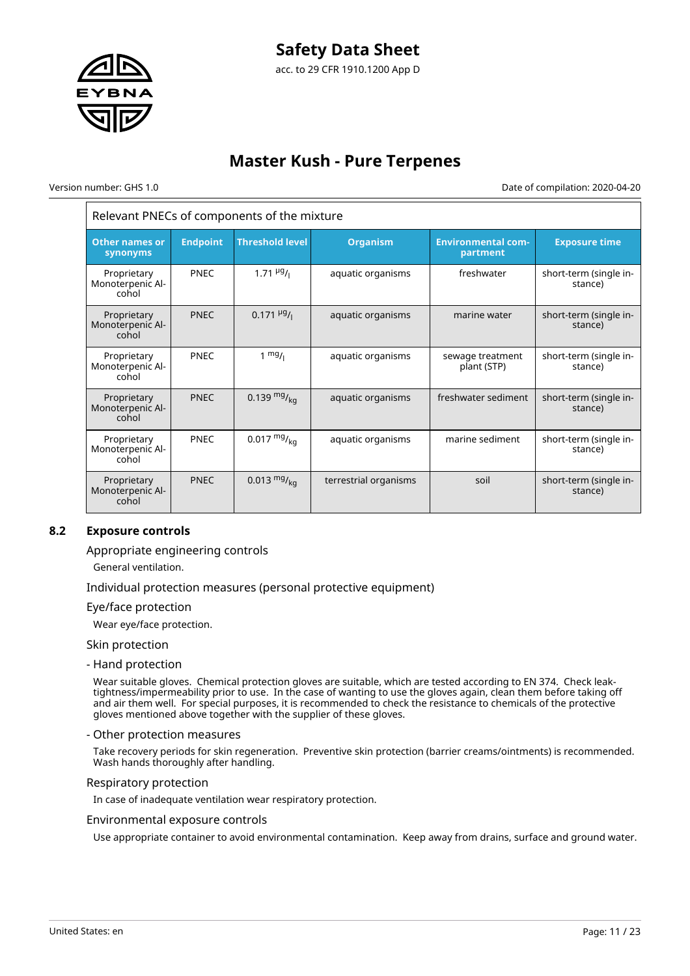

Version number: GHS 1.0 Date of compilation: 2020-04-20

# Relevant PNECs of components of the mixture

| <b>Other names or</b><br>synonyms        | <b>Endpoint</b> | <b>Threshold level</b>  | <b>Organism</b>       | <b>Environmental com-</b><br>partment | <b>Exposure time</b>              |
|------------------------------------------|-----------------|-------------------------|-----------------------|---------------------------------------|-----------------------------------|
| Proprietary<br>Monoterpenic Al-<br>cohol | <b>PNEC</b>     | $1.71 \frac{\mu g}{I}$  | aquatic organisms     | freshwater                            | short-term (single in-<br>stance) |
| Proprietary<br>Monoterpenic Al-<br>cohol | <b>PNEC</b>     | $0.171 \frac{\mu g}{I}$ | aquatic organisms     | marine water                          | short-term (single in-<br>stance) |
| Proprietary<br>Monoterpenic Al-<br>cohol | <b>PNEC</b>     | $1 \frac{mg}{l}$        | aquatic organisms     | sewage treatment<br>plant (STP)       | short-term (single in-<br>stance) |
| Proprietary<br>Monoterpenic Al-<br>cohol | <b>PNEC</b>     | $0.139 \frac{mg}{ka}$   | aquatic organisms     | freshwater sediment                   | short-term (single in-<br>stance) |
| Proprietary<br>Monoterpenic Al-<br>cohol | <b>PNEC</b>     | $0.017 \frac{mg}{kq}$   | aquatic organisms     | marine sediment                       | short-term (single in-<br>stance) |
| Proprietary<br>Monoterpenic Al-<br>cohol | <b>PNEC</b>     | $0.013 \frac{mg}{kg}$   | terrestrial organisms | soil                                  | short-term (single in-<br>stance) |

# **8.2 Exposure controls**

Appropriate engineering controls

General ventilation.

Individual protection measures (personal protective equipment)

Eye/face protection

Wear eye/face protection.

#### Skin protection

- Hand protection

Wear suitable gloves. Chemical protection gloves are suitable, which are tested according to EN 374. Check leaktightness/impermeability prior to use. In the case of wanting to use the gloves again, clean them before taking off and air them well. For special purposes, it is recommended to check the resistance to chemicals of the protective gloves mentioned above together with the supplier of these gloves.

#### - Other protection measures

Take recovery periods for skin regeneration. Preventive skin protection (barrier creams/ointments) is recommended. Wash hands thoroughly after handling.

#### Respiratory protection

In case of inadequate ventilation wear respiratory protection.

#### Environmental exposure controls

Use appropriate container to avoid environmental contamination. Keep away from drains, surface and ground water.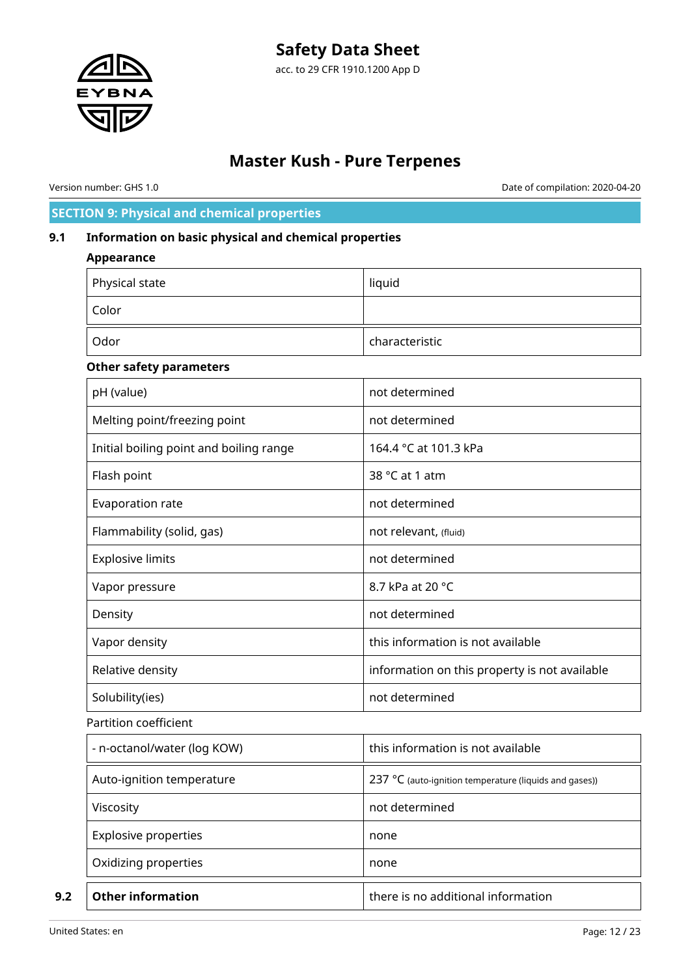

Version number: GHS 1.0 Date of compilation: 2020-04-20

# **SECTION 9: Physical and chemical properties**

# **9.1 Information on basic physical and chemical properties**

### **Appearance**

| Physical state | liquid         |
|----------------|----------------|
| Color          |                |
| Odor           | characteristic |

### **Other safety parameters**

| pH (value)                              | not determined                                         |
|-----------------------------------------|--------------------------------------------------------|
| Melting point/freezing point            | not determined                                         |
| Initial boiling point and boiling range | 164.4 °C at 101.3 kPa                                  |
| Flash point                             | 38 °C at 1 atm                                         |
| Evaporation rate                        | not determined                                         |
| Flammability (solid, gas)               | not relevant, (fluid)                                  |
| <b>Explosive limits</b>                 | not determined                                         |
| Vapor pressure                          | 8.7 kPa at 20 °C                                       |
| Density                                 | not determined                                         |
| Vapor density                           | this information is not available                      |
| Relative density                        | information on this property is not available          |
| Solubility(ies)                         | not determined                                         |
| Partition coefficient                   |                                                        |
| - n-octanol/water (log KOW)             | this information is not available                      |
| Auto-ignition temperature               | 237 °C (auto-ignition temperature (liquids and gases)) |
| Viscosity                               | not determined                                         |
| <b>Explosive properties</b>             | none                                                   |
| Oxidizing properties                    | none                                                   |
| <b>Other information</b>                | there is no additional information                     |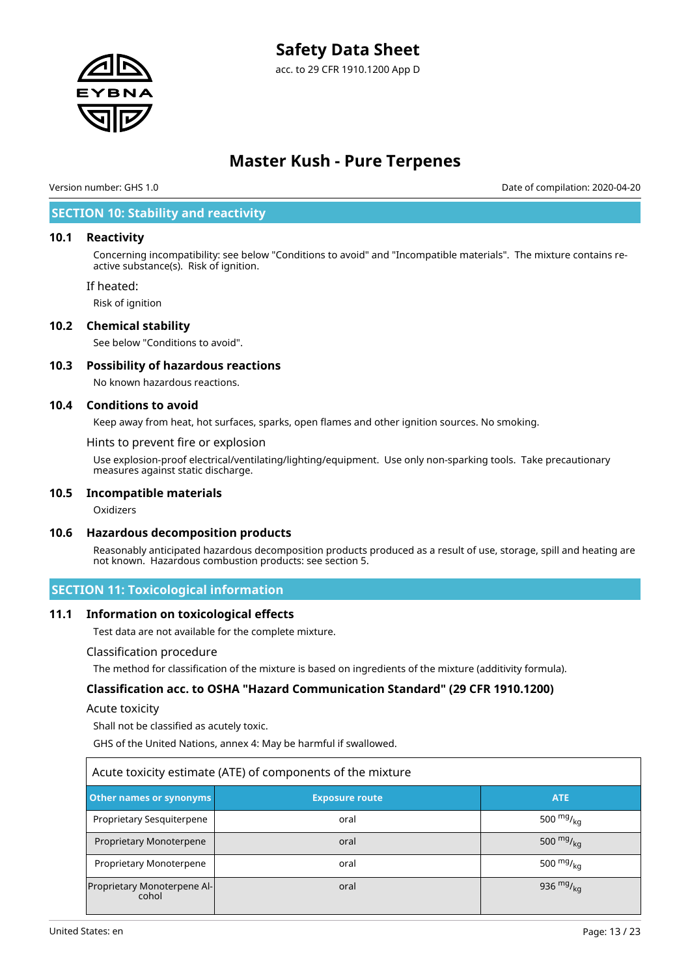# **Safety Data Sheet**

acc. to 29 CFR 1910.1200 App D



# **Master Kush - Pure Terpenes**

Version number: GHS 1.0 Date of compilation: 2020-04-20

# **SECTION 10: Stability and reactivity**

#### **10.1 Reactivity**

Concerning incompatibility: see below "Conditions to avoid" and "Incompatible materials". The mixture contains reactive substance(s). Risk of ignition.

If heated:

Risk of ignition

#### **10.2 Chemical stability**

See below "Conditions to avoid".

### **10.3 Possibility of hazardous reactions**

No known hazardous reactions.

#### **10.4 Conditions to avoid**

Keep away from heat, hot surfaces, sparks, open flames and other ignition sources. No smoking.

Hints to prevent fire or explosion

Use explosion-proof electrical/ventilating/lighting/equipment. Use only non-sparking tools. Take precautionary measures against static discharge.

#### **10.5 Incompatible materials**

Oxidizers

#### **10.6 Hazardous decomposition products**

Reasonably anticipated hazardous decomposition products produced as a result of use, storage, spill and heating are not known. Hazardous combustion products: see section 5.

### **SECTION 11: Toxicological information**

#### **11.1 Information on toxicological effects**

Test data are not available for the complete mixture.

#### Classification procedure

The method for classification of the mixture is based on ingredients of the mixture (additivity formula).

### **Classification acc. to OSHA "Hazard Communication Standard" (29 CFR 1910.1200)**

#### Acute toxicity

Shall not be classified as acutely toxic.

GHS of the United Nations, annex 4: May be harmful if swallowed.

| Acute toxicity estimate (ATE) of components of the mixture |                       |                |  |  |  |  |
|------------------------------------------------------------|-----------------------|----------------|--|--|--|--|
| <b>Other names or synonyms</b>                             | <b>Exposure route</b> | <b>ATE</b>     |  |  |  |  |
| Proprietary Sesquiterpene                                  | oral                  | 500 $mg/kq$    |  |  |  |  |
| Proprietary Monoterpene                                    | oral                  | 500 $mg/_{ka}$ |  |  |  |  |
| Proprietary Monoterpene                                    | oral                  | 500 $mg/kq$    |  |  |  |  |
| Proprietary Monoterpene Al-<br>cohol                       | oral                  | 936 $mg/_{ka}$ |  |  |  |  |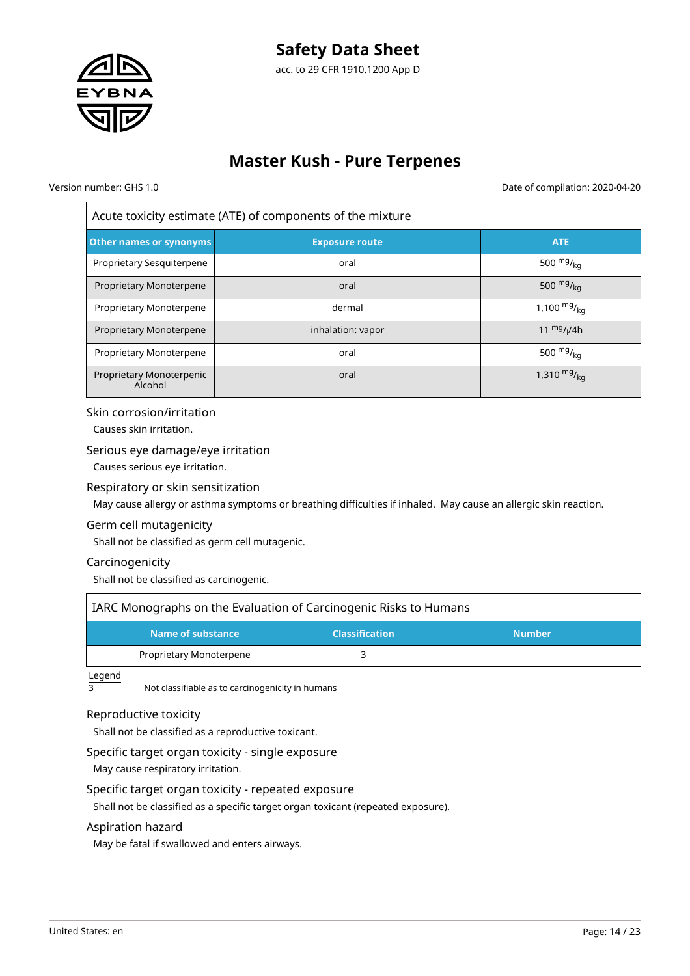

Version number: GHS 1.0 Date of compilation: 2020-04-20

Acute toxicity estimate (ATE) of components of the mixture

| Other names or synonyms             | <b>Exposure route</b> | <b>ATE</b>       |
|-------------------------------------|-----------------------|------------------|
| Proprietary Sesquiterpene           | oral                  | 500 $mg/kq$      |
| Proprietary Monoterpene             | oral                  | 500 $mg/kq$      |
| Proprietary Monoterpene             | dermal                | 1,100 $mg/_{ka}$ |
| Proprietary Monoterpene             | inhalation: vapor     | 11 $mg/1/4h$     |
| Proprietary Monoterpene             | oral                  | 500 $mgr_{ka}$   |
| Proprietary Monoterpenic<br>Alcohol | oral                  | 1,310 $mg/kq$    |

#### Skin corrosion/irritation

Causes skin irritation.

### Serious eye damage/eye irritation

Causes serious eye irritation.

#### Respiratory or skin sensitization

May cause allergy or asthma symptoms or breathing difficulties if inhaled. May cause an allergic skin reaction.

### Germ cell mutagenicity Shall not be classified as germ cell mutagenic.

# Carcinogenicity

Shall not be classified as carcinogenic.

| IARC Monographs on the Evaluation of Carcinogenic Risks to Humans |  |  |  |
|-------------------------------------------------------------------|--|--|--|
| Name of substance<br><b>Classification</b><br><b>Number</b>       |  |  |  |
| Proprietary Monoterpene                                           |  |  |  |

 $\frac{\text{Legend}}{3}$ 

Not classifiable as to carcinogenicity in humans

### Reproductive toxicity

Shall not be classified as a reproductive toxicant.

### Specific target organ toxicity - single exposure

May cause respiratory irritation.

#### Specific target organ toxicity - repeated exposure

Shall not be classified as a specific target organ toxicant (repeated exposure).

#### Aspiration hazard

May be fatal if swallowed and enters airways.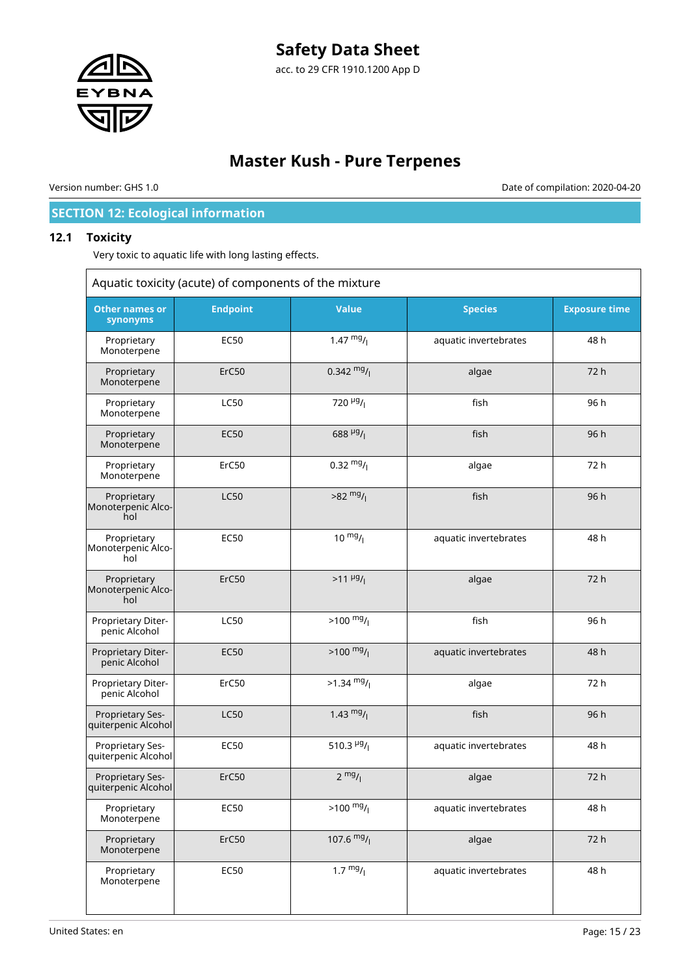

# **Master Kush - Pure Terpenes**

Version number: GHS 1.0 Date of compilation: 2020-04-20

# **SECTION 12: Ecological information**

### **12.1 Toxicity**

 $\Gamma$ 

Very toxic to aquatic life with long lasting effects.

| Aquatic toxicity (acute) of components of the mixture |                 |                         |                       |                      |
|-------------------------------------------------------|-----------------|-------------------------|-----------------------|----------------------|
| <b>Other names or</b><br>synonyms                     | <b>Endpoint</b> | <b>Value</b>            | <b>Species</b>        | <b>Exposure time</b> |
| Proprietary<br>Monoterpene                            | <b>EC50</b>     | 1.47 $mg/$              | aquatic invertebrates | 48 h                 |
| Proprietary<br>Monoterpene                            | ErC50           | $0.342 \frac{mg}{l}$    | algae                 | 72 h                 |
| Proprietary<br>Monoterpene                            | <b>LC50</b>     | 720 $\mu$ g/            | fish                  | 96 h                 |
| Proprietary<br>Monoterpene                            | <b>EC50</b>     | $688 \frac{\mu g}{I}$   | fish                  | 96 h                 |
| Proprietary<br>Monoterpene                            | ErC50           | $0.32 \frac{mg}{l}$     | algae                 | 72 h                 |
| Proprietary<br>Monoterpenic Alco-<br>hol              | <b>LC50</b>     | $>82 \frac{mg}{l}$      | fish                  | 96 h                 |
| Proprietary<br>Monoterpenic Alco-<br>hol              | <b>EC50</b>     | $10 \frac{mg}{l}$       | aquatic invertebrates | 48 h                 |
| Proprietary<br>Monoterpenic Alco-<br>hol              | ErC50           | $>11 \frac{\mu g}{I}$   | algae                 | 72h                  |
| Proprietary Diter-<br>penic Alcohol                   | <b>LC50</b>     | $>100 \frac{mg}{l}$     | fish                  | 96 h                 |
| Proprietary Diter-<br>penic Alcohol                   | <b>EC50</b>     | $>100 \frac{mg}{l}$     | aquatic invertebrates | 48 h                 |
| Proprietary Diter-<br>penic Alcohol                   | ErC50           | $>1.34$ mg/             | algae                 | 72 h                 |
| Proprietary Ses-<br>quiterpenic Alcohol               | <b>LC50</b>     | 1.43 $mg/$              | fish                  | 96 h                 |
| Proprietary Ses-<br>quiterpenic Alcohol               | <b>EC50</b>     | 510.3 $\frac{\mu g}{I}$ | aquatic invertebrates | 48 h                 |
| Proprietary Ses-<br>quiterpenic Alcohol               | ErC50           | $2 \frac{mg}{l}$        | algae                 | 72 h                 |
| Proprietary<br>Monoterpene                            | <b>EC50</b>     | $>100$ mg/              | aquatic invertebrates | 48 h                 |
| Proprietary<br>Monoterpene                            | ErC50           | 107.6 $mg/$             | algae                 | 72 h                 |
| Proprietary<br>Monoterpene                            | <b>EC50</b>     | $1.7 \frac{mg}{l}$      | aquatic invertebrates | 48 h                 |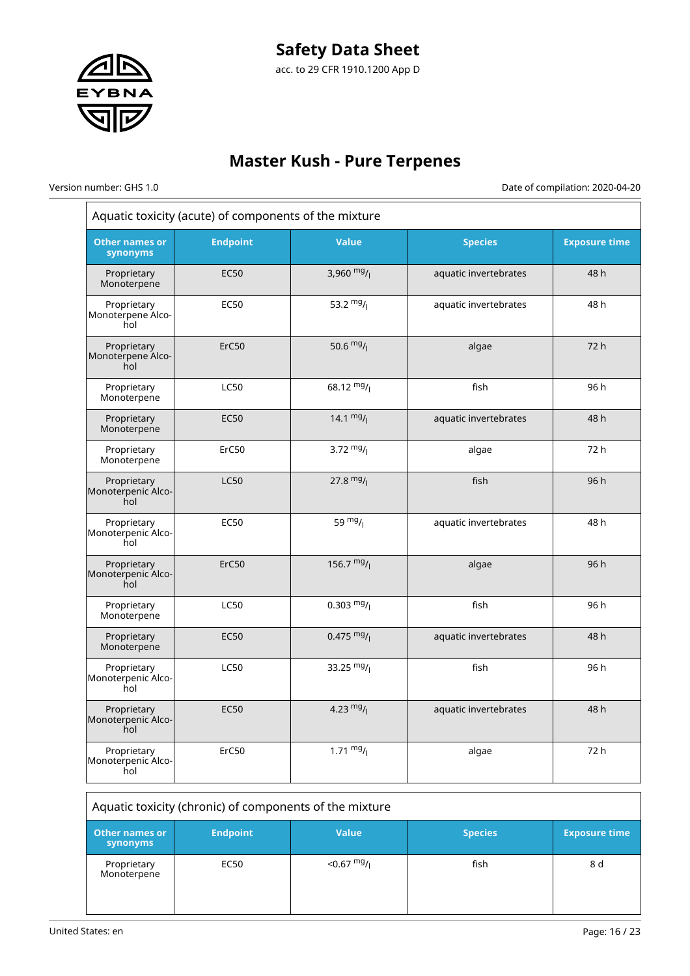

# **Master Kush - Pure Terpenes**

 $\overline{r}$ 

Version number: GHS 1.0 Date of compilation: 2020-04-20  $\frac{1}{1}$ 

| Aquatic toxicity (acute) of components of the mixture   |                 |                      |                       |                      |
|---------------------------------------------------------|-----------------|----------------------|-----------------------|----------------------|
| <b>Other names or</b><br>synonyms                       | <b>Endpoint</b> | <b>Value</b>         | <b>Species</b>        | <b>Exposure time</b> |
| Proprietary<br>Monoterpene                              | <b>EC50</b>     | 3,960 $mg/$          | aquatic invertebrates | 48 h                 |
| Proprietary<br>Monoterpene Alco-<br>hol                 | <b>EC50</b>     | 53.2 $mg/1$          | aquatic invertebrates | 48 h                 |
| Proprietary<br>Monoterpene Alco-<br>hol                 | ErC50           | 50.6 $mg/1$          | algae                 | 72 h                 |
| Proprietary<br>Monoterpene                              | LC50            | 68.12 $mg/$          | fish                  | 96 h                 |
| Proprietary<br>Monoterpene                              | <b>EC50</b>     | 14.1 $mg/1$          | aquatic invertebrates | 48 h                 |
| Proprietary<br>Monoterpene                              | ErC50           | 3.72 $mg/$           | algae                 | 72 h                 |
| Proprietary<br>Monoterpenic Alco-<br>hol                | <b>LC50</b>     | 27.8 $mg/1$          | fish                  | 96 h                 |
| Proprietary<br>Monoterpenic Alco-<br>hol                | <b>EC50</b>     | 59 $mg/1$            | aquatic invertebrates | 48 h                 |
| Proprietary<br>Monoterpenic Alco-<br>hol                | ErC50           | 156.7 $mg/$          | algae                 | 96 h                 |
| Proprietary<br>Monoterpene                              | <b>LC50</b>     | $0.303 \frac{mg}{l}$ | fish                  | 96 h                 |
| Proprietary<br>Monoterpene                              | <b>EC50</b>     | $0.475 \frac{mg}{l}$ | aquatic invertebrates | 48 h                 |
| Proprietary<br>Monoterpenic Alco-<br>hol                | <b>LC50</b>     | 33.25 $mg/$          | fish                  | 96 h                 |
| Proprietary<br>Monoterpenic Alco-<br>hol                | <b>EC50</b>     | 4.23 $mg/1$          | aquatic invertebrates | 48 h                 |
| Proprietary<br>Monoterpenic Alco-<br>hol                | ErC50           | 1.71 $mg/1$          | algae                 | 72 h                 |
| Aquatic toxicity (chronic) of components of the mixture |                 |                      |                       |                      |
| <b>Other names or</b><br>synonyms                       | <b>Endpoint</b> | <b>Value</b>         | <b>Species</b>        | <b>Exposure time</b> |
| Proprietary<br>Monoterpene                              | <b>EC50</b>     | $< 0.67$ mg/         | fish                  | 8 d                  |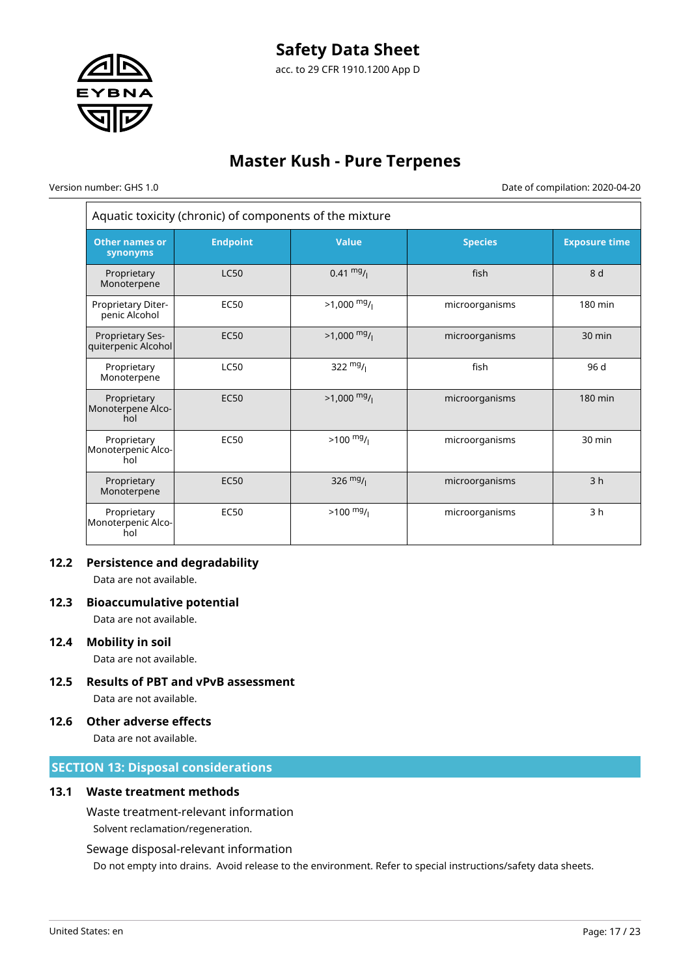

# **Master Kush - Pure Terpenes**

 $\overline{r}$ 

Version number: GHS 1.0 Date of compilation: 2020-04-20

Ξ

| Aquatic toxicity (chronic) of components of the mixture |                 |                     |                |                      |
|---------------------------------------------------------|-----------------|---------------------|----------------|----------------------|
| <b>Other names or</b><br>synonyms                       | <b>Endpoint</b> | <b>Value</b>        | <b>Species</b> | <b>Exposure time</b> |
| Proprietary<br>Monoterpene                              | <b>LC50</b>     | $0.41 \frac{mg}{l}$ | fish           | 8 d                  |
| Proprietary Diter-<br>penic Alcohol                     | <b>EC50</b>     | $>1,000$ mg/        | microorganisms | 180 min              |
| Proprietary Ses-<br>quiterpenic Alcohol                 | <b>EC50</b>     | $>1,000$ mg/        | microorganisms | $30 \text{ min}$     |
| Proprietary<br>Monoterpene                              | <b>LC50</b>     | 322 $mg/$           | fish           | 96 d                 |
| Proprietary<br>Monoterpene Alco-<br>hol                 | <b>EC50</b>     | $>1,000$ mg/        | microorganisms | 180 min              |
| Proprietary<br>Monoterpenic Alco-<br>hol                | <b>EC50</b>     | $>100 \frac{mg}{l}$ | microorganisms | 30 min               |
| Proprietary<br>Monoterpene                              | <b>EC50</b>     | 326 $mg/$           | microorganisms | 3 <sub>h</sub>       |
| Proprietary<br>Monoterpenic Alco-<br>hol                | <b>EC50</b>     | $>100$ mg/          | microorganisms | 3 <sub>h</sub>       |

# **12.2 Persistence and degradability**

Data are not available.

### **12.3 Bioaccumulative potential**

Data are not available.

### **12.4 Mobility in soil**

Data are not available.

**12.5 Results of PBT and vPvB assessment**

Data are not available.

### **12.6 Other adverse effects**

Data are not available.

# **SECTION 13: Disposal considerations**

# **13.1 Waste treatment methods**

Waste treatment-relevant information Solvent reclamation/regeneration.

# Sewage disposal-relevant information

Do not empty into drains. Avoid release to the environment. Refer to special instructions/safety data sheets.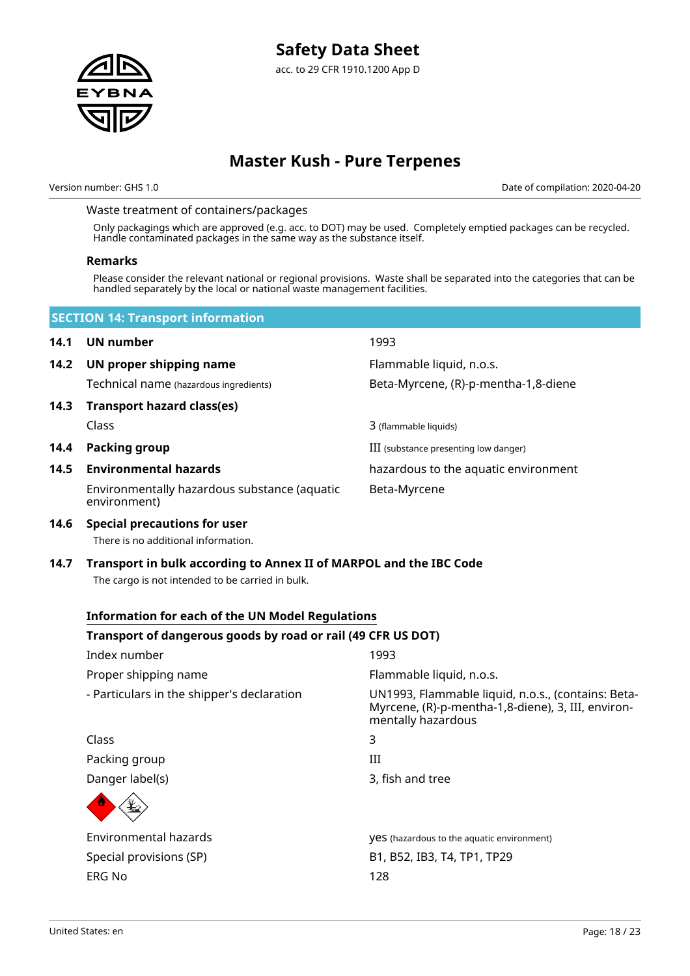Version number: GHS 1.0 Date of compilation: 2020-04-20

### Waste treatment of containers/packages

Only packagings which are approved (e.g. acc. to DOT) may be used. Completely emptied packages can be recycled. Handle contaminated packages in the same way as the substance itself.

#### **Remarks**

Please consider the relevant national or regional provisions. Waste shall be separated into the categories that can be handled separately by the local or national waste management facilities.

|      | <b>SECTION 14: Transport information</b>                                                                                                                                    |                                                                                                                                |
|------|-----------------------------------------------------------------------------------------------------------------------------------------------------------------------------|--------------------------------------------------------------------------------------------------------------------------------|
| 14.1 | UN number                                                                                                                                                                   | 1993                                                                                                                           |
| 14.2 | UN proper shipping name                                                                                                                                                     | Flammable liquid, n.o.s.                                                                                                       |
|      | Technical name (hazardous ingredients)                                                                                                                                      | Beta-Myrcene, (R)-p-mentha-1,8-diene                                                                                           |
| 14.3 | <b>Transport hazard class(es)</b>                                                                                                                                           |                                                                                                                                |
|      | Class                                                                                                                                                                       | 3 (flammable liquids)                                                                                                          |
| 14.4 | <b>Packing group</b>                                                                                                                                                        | III (substance presenting low danger)                                                                                          |
| 14.5 | <b>Environmental hazards</b>                                                                                                                                                | hazardous to the aquatic environment                                                                                           |
|      | Environmentally hazardous substance (aquatic<br>environment)                                                                                                                | Beta-Myrcene                                                                                                                   |
| 14.6 | <b>Special precautions for user</b><br>There is no additional information.                                                                                                  |                                                                                                                                |
|      | The cargo is not intended to be carried in bulk.<br><b>Information for each of the UN Model Regulations</b><br>Transport of dangerous goods by road or rail (49 CFR US DOT) |                                                                                                                                |
|      | Index number                                                                                                                                                                | 1993                                                                                                                           |
|      | Proper shipping name                                                                                                                                                        | Flammable liquid, n.o.s.                                                                                                       |
|      | - Particulars in the shipper's declaration                                                                                                                                  | UN1993, Flammable liquid, n.o.s., (contains: Beta-<br>Myrcene, (R)-p-mentha-1,8-diene), 3, III, environ-<br>mentally hazardous |
|      | Class                                                                                                                                                                       | 3                                                                                                                              |
|      | Packing group                                                                                                                                                               | III                                                                                                                            |
|      | Danger label(s)                                                                                                                                                             | 3, fish and tree                                                                                                               |
|      |                                                                                                                                                                             |                                                                                                                                |
|      | Environmental hazards                                                                                                                                                       | <b>yes</b> (hazardous to the aquatic environment)                                                                              |
|      | Special provisions (SP)                                                                                                                                                     | B1, B52, IB3, T4, TP1, TP29                                                                                                    |
|      | <b>ERG No</b>                                                                                                                                                               | 128                                                                                                                            |
|      |                                                                                                                                                                             |                                                                                                                                |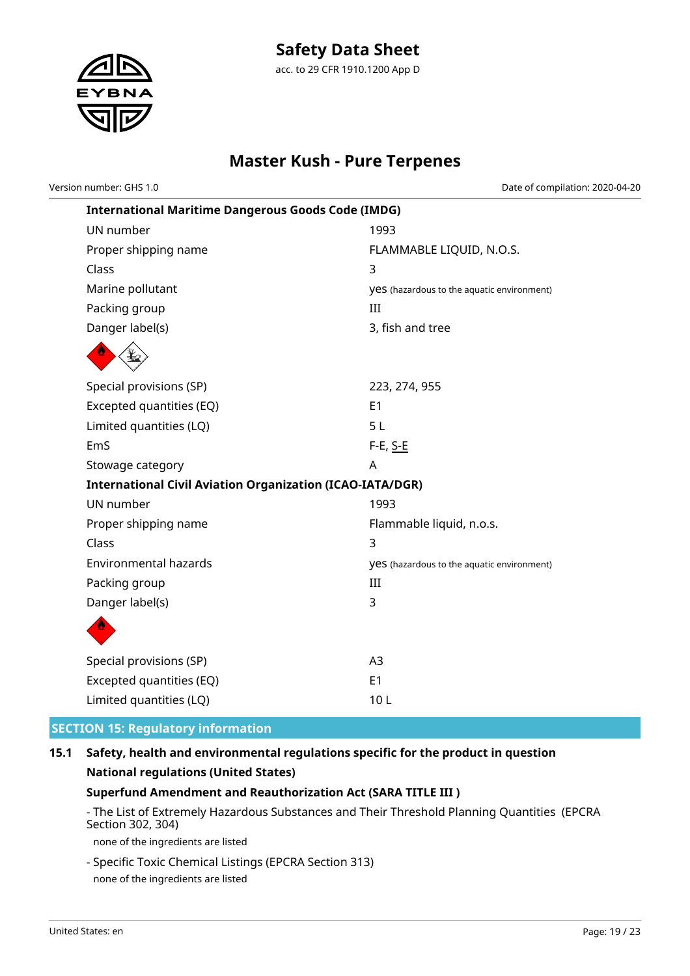

Version number: GHS 1.0 Date of compilation: 2020-04-20

| <b>International Maritime Dangerous Goods Code (IMDG)</b>        |                                                   |  |  |
|------------------------------------------------------------------|---------------------------------------------------|--|--|
| UN number                                                        | 1993                                              |  |  |
| Proper shipping name                                             | FLAMMABLE LIQUID, N.O.S.                          |  |  |
| Class                                                            | 3                                                 |  |  |
| Marine pollutant                                                 | <b>yes</b> (hazardous to the aquatic environment) |  |  |
| Packing group                                                    | III                                               |  |  |
| Danger label(s)                                                  | 3, fish and tree                                  |  |  |
|                                                                  |                                                   |  |  |
| Special provisions (SP)                                          | 223, 274, 955                                     |  |  |
| Excepted quantities (EQ)                                         | E <sub>1</sub>                                    |  |  |
| Limited quantities (LQ)                                          | 5L                                                |  |  |
| EmS                                                              | F-E, S-E                                          |  |  |
| Stowage category                                                 | A                                                 |  |  |
| <b>International Civil Aviation Organization (ICAO-IATA/DGR)</b> |                                                   |  |  |
| UN number                                                        | 1993                                              |  |  |
| Proper shipping name                                             | Flammable liquid, n.o.s.                          |  |  |
| Class                                                            | 3                                                 |  |  |
| <b>Environmental hazards</b>                                     | <b>yes</b> (hazardous to the aquatic environment) |  |  |
| Packing group                                                    | III                                               |  |  |
| Danger label(s)                                                  | 3                                                 |  |  |
|                                                                  |                                                   |  |  |
| Special provisions (SP)                                          | A3                                                |  |  |
| Excepted quantities (EQ)                                         | E <sub>1</sub>                                    |  |  |
| Limited quantities (LQ)                                          | 10L                                               |  |  |

# **SECTION 15: Regulatory information**

# **15.1 Safety, health and environmental regulations specific for the product in question National regulations (United States)**

# **Superfund Amendment and Reauthorization Act (SARA TITLE III )**

- The List of Extremely Hazardous Substances and Their Threshold Planning Quantities (EPCRA Section 302, 304)

none of the ingredients are listed

- Specific Toxic Chemical Listings (EPCRA Section 313) none of the ingredients are listed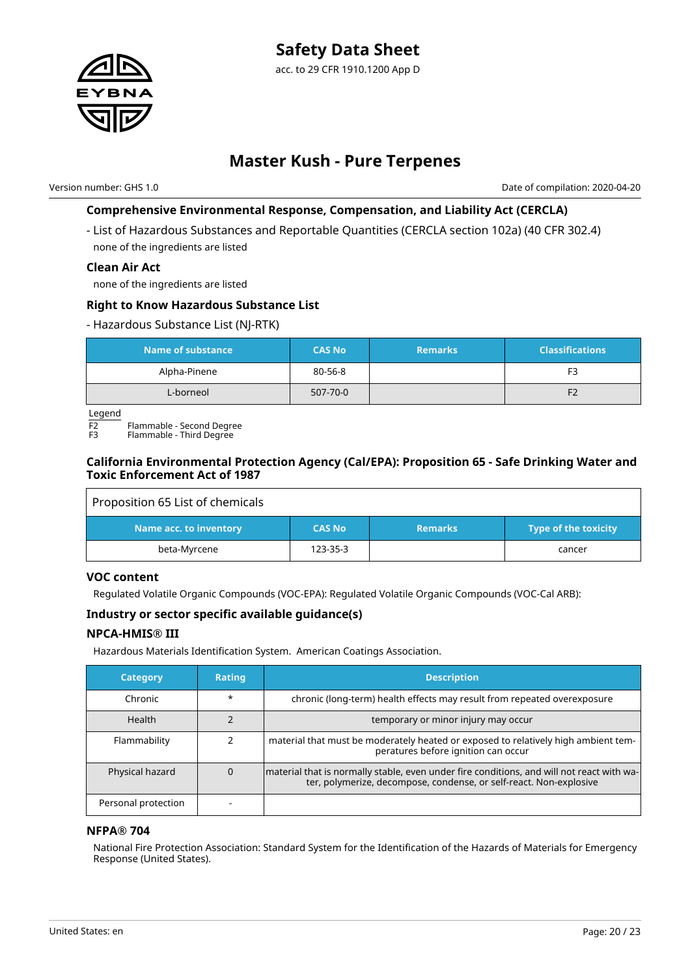

Version number: GHS 1.0 Date of compilation: 2020-04-20

# **Comprehensive Environmental Response, Compensation, and Liability Act (CERCLA)**

- List of Hazardous Substances and Reportable Quantities (CERCLA section 102a) (40 CFR 302.4) none of the ingredients are listed

### **Clean Air Act**

none of the ingredients are listed

### **Right to Know Hazardous Substance List**

#### - Hazardous Substance List (NJ-RTK)

| Name of substance | <b>CAS No</b> | <b>Remarks</b> | <b>Classifications</b> |
|-------------------|---------------|----------------|------------------------|
| Alpha-Pinene      | 80-56-8       |                | F3                     |
| L-borneol         | 507-70-0      |                | F <sub>2</sub>         |

Legend

 $\overline{F2}$  Flammable - Second Degree

Flammable - Third Degree

### **California Environmental Protection Agency (Cal/EPA): Proposition 65 - Safe Drinking Water and Toxic Enforcement Act of 1987**

| Proposition 65 List of chemicals |               |                |                      |
|----------------------------------|---------------|----------------|----------------------|
| Name acc. to inventory           | <b>CAS No</b> | <b>Remarks</b> | Type of the toxicity |
| beta-Myrcene                     | 123-35-3      |                | cancer               |

### **VOC content**

Regulated Volatile Organic Compounds (VOC-EPA): Regulated Volatile Organic Compounds (VOC-Cal ARB):

# **Industry or sector specific available guidance(s)**

### **NPCA-HMIS® III**

Hazardous Materials Identification System. American Coatings Association.

| <b>Category</b>     | <b>Rating</b> | <b>Description</b>                                                                                                                                              |
|---------------------|---------------|-----------------------------------------------------------------------------------------------------------------------------------------------------------------|
| Chronic             | $\star$       | chronic (long-term) health effects may result from repeated overexposure                                                                                        |
| Health              |               | temporary or minor injury may occur                                                                                                                             |
| Flammability        |               | material that must be moderately heated or exposed to relatively high ambient tem-<br>peratures before ignition can occur                                       |
| Physical hazard     |               | material that is normally stable, even under fire conditions, and will not react with wa-<br>ter, polymerize, decompose, condense, or self-react. Non-explosive |
| Personal protection |               |                                                                                                                                                                 |

### **NFPA® 704**

National Fire Protection Association: Standard System for the Identification of the Hazards of Materials for Emergency Response (United States).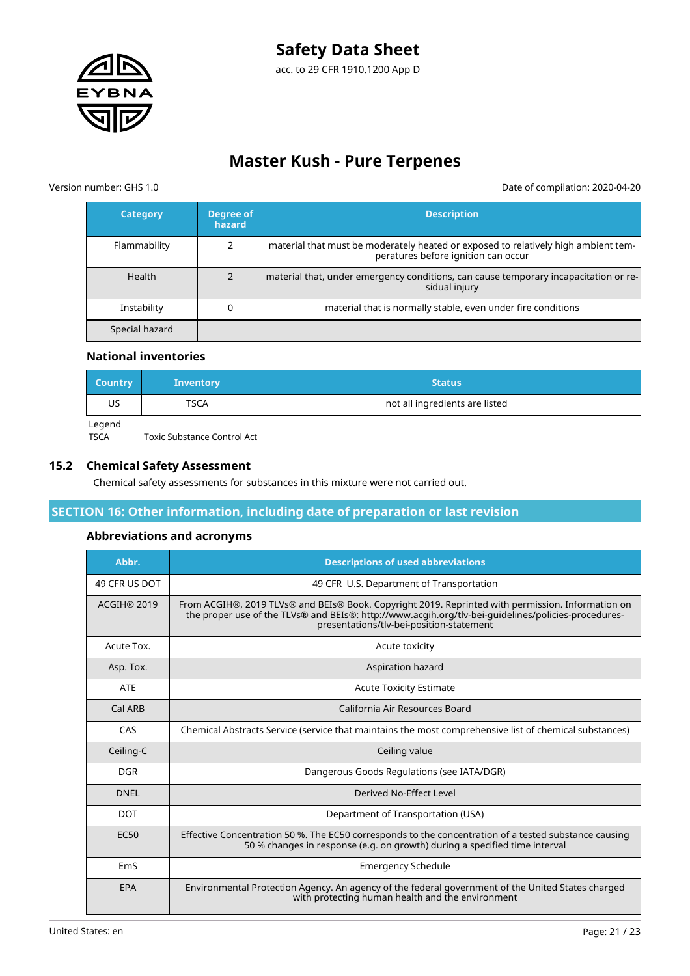

Version number: GHS 1.0 Date of compilation: 2020-04-20

| <b>Category</b> | Degree of<br>hazard | <b>Description</b>                                                                                                        |
|-----------------|---------------------|---------------------------------------------------------------------------------------------------------------------------|
| Flammability    |                     | material that must be moderately heated or exposed to relatively high ambient tem-<br>peratures before ignition can occur |
| <b>Health</b>   |                     | material that, under emergency conditions, can cause temporary incapacitation or re-<br>sidual injury                     |
| Instability     |                     | material that is normally stable, even under fire conditions                                                              |
| Special hazard  |                     |                                                                                                                           |

#### **National inventories**

| <b>Country</b> | <b>Inventory</b> | <b>Status</b>                  |
|----------------|------------------|--------------------------------|
| US             | TSCA             | not all ingredients are listed |
| $l$ coord      |                  |                                |

Legend<br>TSCA

## **15.2 Chemical Safety Assessment**

Chemical safety assessments for substances in this mixture were not carried out.

### **SECTION 16: Other information, including date of preparation or last revision**

#### **Abbreviations and acronyms**

Toxic Substance Control Act

| Abbr.              | <b>Descriptions of used abbreviations</b>                                                                                                                                                                                                            |
|--------------------|------------------------------------------------------------------------------------------------------------------------------------------------------------------------------------------------------------------------------------------------------|
| 49 CFR US DOT      | 49 CFR U.S. Department of Transportation                                                                                                                                                                                                             |
| <b>ACGIH® 2019</b> | From ACGIH®, 2019 TLVs® and BEIs® Book. Copyright 2019. Reprinted with permission. Information on<br>the proper use of the TLVs® and BEIs®: http://www.acgih.org/tlv-bei-guidelines/policies-procedures-<br>presentations/tlv-bei-position-statement |
| Acute Tox.         | Acute toxicity                                                                                                                                                                                                                                       |
| Asp. Tox.          | Aspiration hazard                                                                                                                                                                                                                                    |
| <b>ATE</b>         | <b>Acute Toxicity Estimate</b>                                                                                                                                                                                                                       |
| Cal ARB            | California Air Resources Board                                                                                                                                                                                                                       |
| CAS                | Chemical Abstracts Service (service that maintains the most comprehensive list of chemical substances)                                                                                                                                               |
| Ceiling-C          | Ceiling value                                                                                                                                                                                                                                        |
| <b>DGR</b>         | Dangerous Goods Regulations (see IATA/DGR)                                                                                                                                                                                                           |
| <b>DNEL</b>        | Derived No-Effect Level                                                                                                                                                                                                                              |
| <b>DOT</b>         | Department of Transportation (USA)                                                                                                                                                                                                                   |
| <b>EC50</b>        | Effective Concentration 50 %. The EC50 corresponds to the concentration of a tested substance causing<br>50 % changes in response (e.g. on growth) during a specified time interval                                                                  |
| EmS                | <b>Emergency Schedule</b>                                                                                                                                                                                                                            |
| EPA                | Environmental Protection Agency. An agency of the federal government of the United States charged<br>with protecting human health and the environment                                                                                                |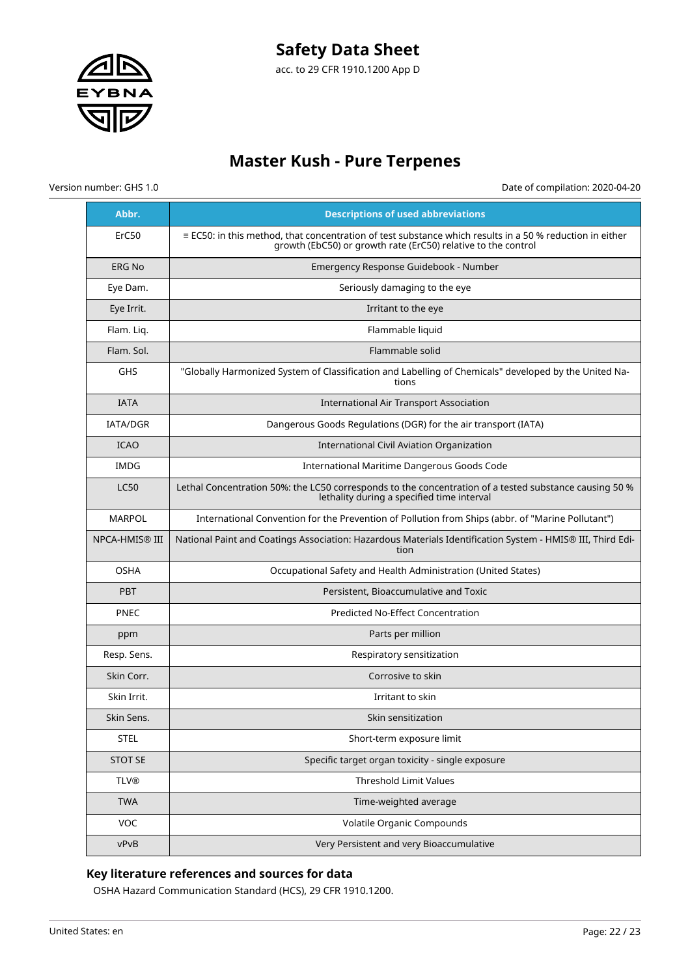

Version number: GHS 1.0 Date of compilation: 2020-04-20

| Abbr.                 | <b>Descriptions of used abbreviations</b>                                                                                                                                        |
|-----------------------|----------------------------------------------------------------------------------------------------------------------------------------------------------------------------------|
| ErC50                 | $\equiv$ EC50: in this method, that concentration of test substance which results in a 50 % reduction in either<br>growth (EbC50) or growth rate (ErC50) relative to the control |
| <b>ERG No</b>         | Emergency Response Guidebook - Number                                                                                                                                            |
| Eye Dam.              | Seriously damaging to the eye                                                                                                                                                    |
| Eye Irrit.            | Irritant to the eye                                                                                                                                                              |
| Flam. Liq.            | Flammable liquid                                                                                                                                                                 |
| Flam. Sol.            | Flammable solid                                                                                                                                                                  |
| GHS                   | "Globally Harmonized System of Classification and Labelling of Chemicals" developed by the United Na-<br>tions                                                                   |
| <b>IATA</b>           | <b>International Air Transport Association</b>                                                                                                                                   |
| <b>IATA/DGR</b>       | Dangerous Goods Regulations (DGR) for the air transport (IATA)                                                                                                                   |
| <b>ICAO</b>           | International Civil Aviation Organization                                                                                                                                        |
| <b>IMDG</b>           | International Maritime Dangerous Goods Code                                                                                                                                      |
| <b>LC50</b>           | Lethal Concentration 50%: the LC50 corresponds to the concentration of a tested substance causing 50 %<br>lethality during a specified time interval                             |
| <b>MARPOL</b>         | International Convention for the Prevention of Pollution from Ships (abbr. of "Marine Pollutant")                                                                                |
| <b>NPCA-HMIS® III</b> | National Paint and Coatings Association: Hazardous Materials Identification System - HMIS® III, Third Edi-<br>tion                                                               |
| <b>OSHA</b>           | Occupational Safety and Health Administration (United States)                                                                                                                    |
| <b>PBT</b>            | Persistent, Bioaccumulative and Toxic                                                                                                                                            |
| <b>PNEC</b>           | <b>Predicted No-Effect Concentration</b>                                                                                                                                         |
| ppm                   | Parts per million                                                                                                                                                                |
| Resp. Sens.           | Respiratory sensitization                                                                                                                                                        |
| Skin Corr.            | Corrosive to skin                                                                                                                                                                |
| Skin Irrit.           | Irritant to skin                                                                                                                                                                 |
| Skin Sens.            | Skin sensitization                                                                                                                                                               |
| <b>STEL</b>           | Short-term exposure limit                                                                                                                                                        |
| <b>STOT SE</b>        | Specific target organ toxicity - single exposure                                                                                                                                 |
| <b>TLV®</b>           | Threshold Limit Values                                                                                                                                                           |
| <b>TWA</b>            | Time-weighted average                                                                                                                                                            |
| VOC                   | Volatile Organic Compounds                                                                                                                                                       |
| vPvB                  | Very Persistent and very Bioaccumulative                                                                                                                                         |

# **Key literature references and sources for data**

OSHA Hazard Communication Standard (HCS), 29 CFR 1910.1200.